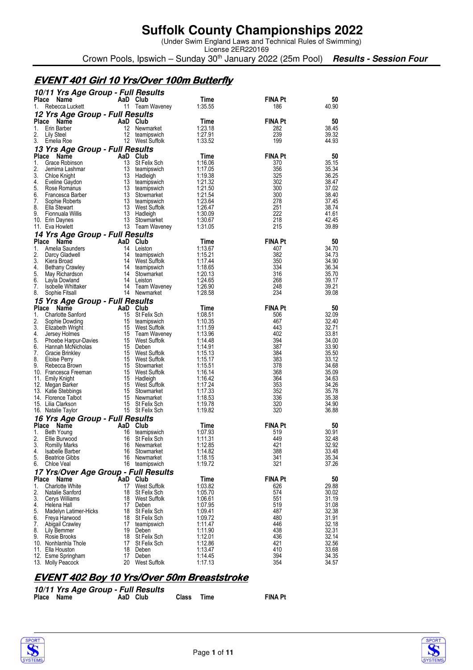(Under Swim England Laws and Technical Rules of Swimming)

License 2ER220169 Crown Pools, Ipswich – Sunday 30<sup>th</sup> January 2022 (25m Pool) **Results - Session Four** 

## **EVENT401 Girl 10 Yrs/Over 100m Butterfly 401 Girl 10 Yrs/Over 100m Butterfly 401 100m**

|                    | 10/11 Yrs Age Group - Full Results         |                |                                     |                    |                       |                |
|--------------------|--------------------------------------------|----------------|-------------------------------------|--------------------|-----------------------|----------------|
| <b>Place</b>       | Name<br>Rebecca Luckett                    | AaD Club       |                                     | Time<br>1:35.55    | <b>FINA Pt</b>        | 50<br>40.90    |
| 1.                 | 12 Yrs Age Group - Full Results            |                | 11 Team Waveney                     |                    | 186                   |                |
| <b>Place</b>       | Name                                       | AaD Club       |                                     | Time               | <b>FINA Pt</b>        | 50             |
| 1.                 | Erin Barber                                | 12             | Newmarket                           | 1:23.18            | 282                   | 38.45          |
| 2.                 | Lily Steel                                 | 12             | teamipswich                         | 1:27.91            | 239                   | 39.32          |
| 3.                 | Emelia Roe                                 |                | 12 West Suffolk                     | 1:33.52            | 199                   | 44.93          |
|                    | 13 Yrs Age Group - Full Results            |                |                                     |                    |                       |                |
| <b>Place</b><br>1. | Name<br>Grace Robinson                     | AaD Club<br>13 | St Felix Sch                        | Time<br>1:16.06    | <b>FINA Pt</b><br>370 | 50<br>35.15    |
| 2.                 | Jemima Lashmar                             |                | 13 teamipswich                      | 1:17.05            | 356                   | 35.34          |
| 3.                 | Chloe Knight                               | 13             | Hadleigh                            | 1:19.38            | 325                   | 36.25          |
| 4.                 | Eveline Gaydon                             | 13             | teamipswich                         | 1:21.32            | 302                   | 38.47          |
| 5.                 | Rose Romanus                               | 13             | teamipswich                         | 1:21.50            | 300                   | 37.02          |
| 6.<br>7.           | Francesca Barber<br>Sophie Roberts         | 13<br>13       | Stowmarket<br>teamipswich           | 1:21.54<br>1:23.64 | 300<br>278            | 38.40<br>37.45 |
| 8.                 | Ella Stewart                               |                | 13 West Suffolk                     | 1:26.47            | 251                   | 38.74          |
| 9.                 | Fionnuala Willis                           | 13             | Hadleigh                            | 1:30.09            | 222                   | 41.61          |
|                    | 10. Erin Daynes                            | 13             | Stowmarket                          | 1:30.67            | 218                   | 42.45          |
|                    | 11. Eva Howlett                            |                | 13 Team Waveney                     | 1:31.05            | 215                   | 39.89          |
| <b>Place</b>       | 14 Yrs Age Group - Full Results<br>Name    | AaD Club       |                                     | Time               | <b>FINA Pt</b>        |                |
| 1.                 | Amelia Saunders                            |                | 14 Leiston                          | 1:13.67            | 407                   | 50<br>34.70    |
| 2.                 | Darcy Gladwell                             | 14             | teamipswich                         | 1:15.21            | 382                   | 34.73          |
| 3.                 | Kiera Broad                                | 14             | West Suffolk                        | 1:17.44            | 350                   | 34.90          |
| 4.                 | <b>Bethany Crawley</b>                     |                | 14 teamipswich                      | 1:18.65            | 334                   | 36.34          |
| 5.<br>6.           | May Richardson                             | 14             | 14 Stowmarket<br>Leiston            | 1:20.13<br>1:24.65 | 316<br>268            | 35.70<br>39.17 |
| 7.                 | Layla Dowland<br>Isobelle Whittaker        |                | 14 Team Waveney                     | 1:26.90            | 248                   | 39.21          |
| 8.                 | Sophie Fitsall                             |                | 14 Newmarket                        | 1:28.58            | 234                   | 39.08          |
|                    | 15 Yrs Age Group - Full Results            |                |                                     |                    |                       |                |
| Place              | Name                                       | AaD Club       |                                     | Time               | <b>FINA Pt</b>        | 50             |
| 1.                 | <b>Charlotte Sanford</b>                   | 15             | St Felix Sch                        | 1:08.51            | 506                   | 32.09          |
| 2.<br>3.           | Sophie Dowding                             | 15<br>15       | teamipswich                         | 1:10.35<br>1:11.59 | 467<br>443            | 32.40<br>32.71 |
| 4.                 | Elizabeth Wright<br>Jersey Holmes          |                | West Suffolk<br>15 Team Waveney     | 1:13.96            | 402                   | 33.81          |
| 5.                 | Phoebe Harpur-Davies                       |                | 15 West Suffolk                     | 1:14.48            | 394                   | 34.00          |
| 6.                 | Hannah McNicholas                          | 15             | Deben                               | 1:14.91            | 387                   | 33.90          |
| 7.                 | Gracie Brinkley                            |                | 15 West Suffolk                     | 1:15.13            | 384                   | 35.50          |
| 8.<br>9.           | Eloise Perry<br>Rebecca Brown              | 15             | 15 West Suffolk<br>Stowmarket       | 1:15.17<br>1:15.51 | 383<br>378            | 33.12<br>34.68 |
|                    | 10. Francesca Freeman                      |                | 15 West Suffolk                     | 1:16.14            | 368                   | 35.09          |
|                    | 11. Emily Knight                           |                | 15 Hadleigh                         | 1:16.42            | 364                   | 34.63          |
|                    | 12. Megan Barker                           | 15             | West Suffolk                        | 1:17.24            | 353                   | 34.26          |
|                    | 13. Katie Stebbings<br>14. Florence Talbot | 15             | Stowmarket<br>15 Newmarket          | 1:17.33<br>1:18.53 | 352<br>336            | 35.78<br>35.38 |
|                    | 15. Lilia Clarkson                         | 15             | St Felix Sch                        | 1:19.78            | 320                   | 34.90          |
|                    | 16. Natalie Taylor                         |                | 15 St Felix Sch                     | 1:19.82            | 320                   | 36.88          |
|                    | 16 Yrs Age Group - Full Results            |                |                                     |                    |                       |                |
| Place              | Name                                       | AaD            | Club                                | Time               | FINA Pt               | 50             |
| 1.                 | Beth Young                                 | 16             | teamipswich                         | 1:07.93            | 519                   | 30.91          |
| 2.<br>3.           | Ellie Burwood<br><b>Romilly Marks</b>      | 16<br>16       | St Felix Sch<br>Newmarket           | 1:11.31<br>1:12.85 | 449<br>421            | 32.48<br>32.92 |
| 4.                 | Isabelle Barber                            | 16             | Stowmarket                          | 1:14.82            | 388                   | 33.48          |
| 5.                 | <b>Beatrice Gibbs</b>                      | 16             | Newmarket                           | 1:18.15            | 341                   | 35.34          |
| 6.                 | Chloe Veal                                 | 16             | teamipswich                         | 1:19.72            | 321                   | 37.26          |
|                    | 17 Yrs/Over Age Group - Full Results       |                |                                     |                    |                       |                |
|                    | Place Name                                 | AaD            | Club                                | Time               | <b>FINA Pt</b>        | 50             |
| 1.<br>2.           | <b>Charlotte White</b><br>Natalie Sanford  | 17<br>18       | <b>West Suffolk</b><br>St Felix Sch | 1:03.82<br>1:05.70 | 626<br>574            | 29.88<br>30.02 |
| 3.                 | Cerys Williams                             | 18             | West Suffolk                        | 1:06.61            | 551                   | 31.19          |
| 4.                 | Helena Hall                                | 17             | Deben                               | 1:07.95            | 519                   | 31.08          |
| 5.                 | Madelyn Latimer-Hicks                      | 18             | St Felix Sch                        | 1:09.41            | 487                   | 32.38          |
| 6.<br>7.           | Freya Harwood<br><b>Abigail Crawley</b>    | 18<br>17       | St Felix Sch<br>teamipswich         | 1:09.72<br>1:11.47 | 480<br>446            | 31.91<br>32.18 |
| 8.                 | Lily Bemmer                                | 19             | Deben                               | 1:11.90            | 438                   | 32.31          |
| 9.                 | Rosie Brooks                               | 18             | St Felix Sch                        | 1:12.01            | 436                   | 32.14          |
|                    | 10. Nonhlanhla Thole                       | 17             | St Felix Sch                        | 1:12.86            | 421                   | 32.56          |
|                    | 11. Ella Houston<br>12. Esme Springham     | 18<br>17       | Deben<br>Deben                      | 1:13.47<br>1:14.45 | 410<br>394            | 33.68<br>34.35 |
|                    | 13. Molly Peacock                          | 20             | West Suffolk                        | 1:17.13            | 354                   | 34.57          |

### **EVENT 402 Boy 10 Yrs/Over 50m Breaststroke**

|            | 10/11 Yrs Age Group - Full Results |          |            |                |
|------------|------------------------------------|----------|------------|----------------|
| Place Name |                                    | AaD Club | Class Time | <b>FINA Pt</b> |



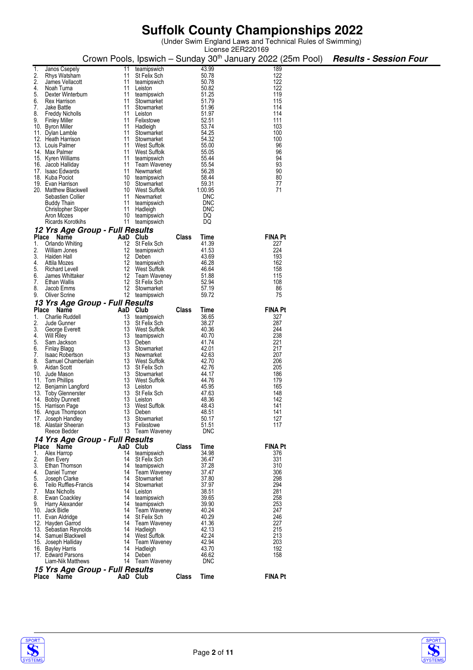(Under Swim England Laws and Technical Rules of Swimming)

|          |                                         |          |                             |       |                | License 2ER220169                                                      |                               |
|----------|-----------------------------------------|----------|-----------------------------|-------|----------------|------------------------------------------------------------------------|-------------------------------|
|          |                                         |          |                             |       |                | Crown Pools, Ipswich – Sunday 30 <sup>th</sup> January 2022 (25m Pool) | <b>Results - Session Four</b> |
|          |                                         |          |                             |       |                |                                                                        |                               |
| 1.       | Janos Csepely                           | 11       | teamipswich                 |       | 43.99          | 189                                                                    |                               |
| 2.       | Rhys Watsham                            | 11       | St Felix Sch                |       | 50.78          | 122                                                                    |                               |
| 2.       | James Vellacott                         | 11       | teamipswich                 |       | 50.78          | 122                                                                    |                               |
| 4.       | Noah Turna                              | 11       | Leiston                     |       | 50.82          | 122                                                                    |                               |
| 5.       | Dexter Winterburn                       | 11       | teamipswich                 |       | 51.25          | 119                                                                    |                               |
| 6.       | Rex Harrison                            | 11       | Stowmarket                  |       | 51.79          | 115                                                                    |                               |
| 7.       | Jake Battle                             | 11       | Stowmarket                  |       | 51.96          | 114                                                                    |                               |
| 8.       | <b>Freddy Nicholls</b>                  | 11       | Leiston                     |       | 51.97          | 114                                                                    |                               |
| 9.       | <b>Finley Miller</b>                    | 11       | Felixstowe                  |       | 52.51          | 111                                                                    |                               |
|          | 10. Byron Miller                        | 11       | Hadleigh                    |       | 53.74          | 103                                                                    |                               |
|          | 11. Dylan Lamble                        | 11       | Stowmarket                  |       | 54.25          | 100                                                                    |                               |
|          | 12. Heath Harrison                      | 11       | Stowmarket                  |       | 54.32          | 100                                                                    |                               |
|          | 13. Louis Palmer                        |          | 11 West Suffolk             |       | 55.00          | 96                                                                     |                               |
|          | 14. Max Palmer                          | 11       | West Suffolk                |       | 55.05          | 96                                                                     |                               |
|          | 15. Kyren Williams                      | 11       | teamipswich                 |       | 55.44          | 94                                                                     |                               |
|          | 16. Jacob Halliday                      |          | 11 Team Waveney             |       | 55.54          | 93                                                                     |                               |
|          | 17. Isaac Edwards                       | 11       | Newmarket                   |       | 56.28          | 90                                                                     |                               |
|          | 18. Kuba Pociot                         |          | 10 teamipswich              |       | 58.44          | 80                                                                     |                               |
|          | 19. Evan Harrison                       |          | 10 Stowmarket               |       | 59.31          | 77                                                                     |                               |
|          | 20. Matthew Blackwell                   |          | 10 West Suffolk             |       | 1:00.95        | 71                                                                     |                               |
|          | Sebastien Collier                       | 11       | Newmarket                   |       | <b>DNC</b>     |                                                                        |                               |
|          | <b>Buddy Thain</b>                      | 11       | teamipswich                 |       | <b>DNC</b>     |                                                                        |                               |
|          | Christopher Sloper                      | 11       | Hadleigh                    |       | <b>DNC</b>     |                                                                        |                               |
|          | Aron Mozes                              | 10       | teamipswich                 |       | DQ             |                                                                        |                               |
|          | <b>Ricards Korotkihs</b>                | 11       | teamipswich                 |       | DQ             |                                                                        |                               |
|          | 12 Yrs Age Group - Full Results         |          |                             |       |                |                                                                        |                               |
|          | Place Name                              | AaD Club |                             |       |                | <b>FINA Pt</b>                                                         |                               |
|          |                                         |          |                             | Class | Time           |                                                                        |                               |
| 1.       | Orlando Whiting                         | 12       | St Felix Sch                |       | 41.39          | 227                                                                    |                               |
| 2.       | William Jones                           | 12       | teamipswich                 |       | 41.53          | 224                                                                    |                               |
| 3.       | Haiden Hall                             | 12       | Deben                       |       | 43.69          | 193                                                                    |                               |
| 4.       | Attila Mozes                            | 12       | teamipswich                 |       | 46.28          | 162                                                                    |                               |
| 5.       | Richard Levell                          |          | 12 West Suffolk             |       | 46.64          | 158                                                                    |                               |
| 6.       | James Whittaker                         |          | 12 Team Waveney             |       | 51.88          | 115                                                                    |                               |
| 7.       | <b>Ethan Wallis</b>                     | 12       | St Felix Sch                |       | 52.94          | 108                                                                    |                               |
| 8.       | Jacob Emms                              |          | 12 Stowmarket               |       | 57.19          | 86                                                                     |                               |
| 9.       | Oliver Scrine                           |          | 12 teamipswich              |       | 59.72          | 75                                                                     |                               |
|          | 13 Yrs Age Group - Full Results         |          |                             |       |                |                                                                        |                               |
|          | Place Name                              | AaD Club |                             | Class | Time           | <b>FINA Pt</b>                                                         |                               |
| 1.       | <b>Charlie Ruddell</b>                  | 13       | teamipswich                 |       | 36.65          | 327                                                                    |                               |
| 2.       | Jude Gunner                             | 13       | St Felix Sch                |       | 38.27          | 287                                                                    |                               |
| 3.       | George Everett                          | 13       | West Suffolk                |       | 40.36          | 244                                                                    |                               |
| 4.       | <b>Will Riley</b>                       | 13       | teamipswich                 |       | 40.70          | 238                                                                    |                               |
| 5.       | Sam Jackson                             | 13       | Deben                       |       | 41.74          | 221                                                                    |                               |
| 6.       | Finlay Blagg                            | 13       | Stowmarket                  |       | 42.01          | 217                                                                    |                               |
| 7.       | <b>Isaac Robertson</b>                  |          | 13 Newmarket                |       | 42.63          | 207                                                                    |                               |
| 8.       | Samuel Chamberlain                      |          | 13 West Suffolk             |       | 42.70          | 206                                                                    |                               |
| 9.       | Aidan Scott                             |          | 13 St Felix Sch             |       | 42.76          | 205                                                                    |                               |
|          | 10. Jude Mason                          |          | 13 Stowmarket               |       | 44.17          | 186                                                                    |                               |
|          | 11. Tom Phillips                        |          | 13 West Suffolk             |       | 44.76          | 179                                                                    |                               |
| 12.      | Benjamin Langford                       | 13       | Leiston                     |       | 45.95          | 165                                                                    |                               |
|          | 13. Toby Glennerster                    | 13       | St Felix Sch                |       | 47.63          | 148                                                                    |                               |
|          | 14. Bobby Dunnett                       | 13       | Leiston                     |       | 48.36          | 142                                                                    |                               |
|          | 15. Harrison Page                       | 13       | West Suffolk                |       | 48.43          | 141                                                                    |                               |
|          | 16. Angus Thompson                      | 13       | Deben                       |       | 48.51          | 141                                                                    |                               |
|          | 17. Joseph Handley                      | 13       | Stowmarket                  |       | 50.17          | 127                                                                    |                               |
|          | 18. Alastair Sheeran                    | 13       | Felixstowe                  |       | 51.51          | 117                                                                    |                               |
|          | Reece Bedder                            |          | 13 Team Waveney             |       | <b>DNC</b>     |                                                                        |                               |
|          | 14 Yrs Age Group - Full Results         |          |                             |       |                |                                                                        |                               |
|          | Place Name                              |          | AaD Club                    | Class | Time           | <b>FINA Pt</b>                                                         |                               |
| 1.       | Alex Harrop                             | 14       | teamipswich                 |       | 34.98          | 376                                                                    |                               |
| 2.       | Ben Every                               | 14       | St Felix Sch                |       | 36.47          | 331                                                                    |                               |
| 3.       | Ethan Thomson                           | 14       |                             |       | 37.28          | 310                                                                    |                               |
|          |                                         |          | teamipswich                 |       | 37.47          | 306                                                                    |                               |
| 4.<br>5. | Daniel Turner                           | 14<br>14 | Team Waveney<br>Stowmarket  |       | 37.80          | 298                                                                    |                               |
| 6.       | Joseph Clarke<br>Teilo Ruffles-Francis  | 14       | Stowmarket                  |       | 37.97          | 294                                                                    |                               |
| 7.       |                                         | 14       |                             |       | 38.51          | 281                                                                    |                               |
| 8.       | Max Nicholls                            |          | Leiston                     |       | 39.65          | 258                                                                    |                               |
|          | Ewan Coackley                           | 14       | teamipswich                 |       |                |                                                                        |                               |
| 9.       | Harry Alexander                         | 14       | teamipswich                 |       | 39.90          | 253                                                                    |                               |
|          | 10. Jack Bidle                          | 14       | Team Waveney                |       | 40.24          | 247                                                                    |                               |
|          | 11. Evan Aldridge                       |          | 14 St Felix Sch             |       | 40.29          | 246                                                                    |                               |
|          | 12. Hayden Garrod                       |          | 14 Team Waveney             |       | 41.36          | 227                                                                    |                               |
|          | 13. Sebastian Reynolds                  | 14       | Hadleigh<br>14 West Suffolk |       | 42.13<br>42.24 | 215<br>213                                                             |                               |
|          | 14. Samuel Blackwell                    | 14       | Team Waveney                |       | 42.94          | 203                                                                    |                               |
|          | 15. Joseph Halliday                     |          |                             |       | 43.70          | 192                                                                    |                               |
|          | 16. Bayley Harris<br>17. Edward Parsons | 14<br>14 | Hadleigh<br>Deben           |       | 46.62          | 158                                                                    |                               |
|          | Liam-Nik Matthews                       | 14       | Team Waveney                |       | <b>DNC</b>     |                                                                        |                               |
|          |                                         |          |                             |       |                |                                                                        |                               |
|          | 15 Yrs Age Group - Full Results         |          |                             |       |                |                                                                        |                               |
|          | Place Name                              | AaD Club |                             | Class | Time           | <b>FINA Pt</b>                                                         |                               |
|          |                                         |          |                             |       |                |                                                                        |                               |

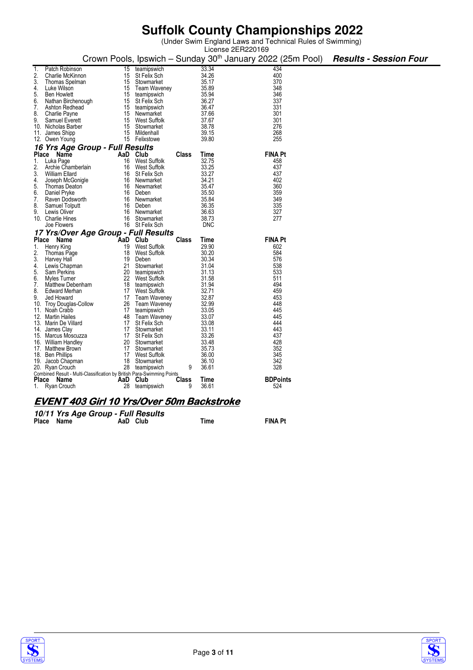(Under Swim England Laws and Technical Rules of Swimming)

|          |                                                                        |    |                                   |              |                | License 2ER220169                                                      |                               |  |  |
|----------|------------------------------------------------------------------------|----|-----------------------------------|--------------|----------------|------------------------------------------------------------------------|-------------------------------|--|--|
|          |                                                                        |    |                                   |              |                | Crown Pools, Ipswich - Sunday 30 <sup>th</sup> January 2022 (25m Pool) | <b>Results - Session Four</b> |  |  |
| 1.       | Patch Robinson                                                         | 15 | teamipswich                       |              | 33.34          | 434                                                                    |                               |  |  |
| 2.       | Charlie McKinnon                                                       | 15 | St Felix Sch                      |              | 34.26          | 400                                                                    |                               |  |  |
| 3.       | Thomas Spelman                                                         |    | 15 Stowmarket                     |              | 35.17          | 370                                                                    |                               |  |  |
| 4.       | Luke Wilson                                                            |    | 15 Team Waveney                   |              | 35.89          | 348                                                                    |                               |  |  |
| 5.<br>6. | <b>Ben Howlett</b><br>Nathan Birchenough                               |    | 15 teamipswich<br>15 St Felix Sch |              | 35.94<br>36.27 | 346<br>337                                                             |                               |  |  |
| 7.       | Ashton Redhead                                                         |    | 15 teamipswich                    |              | 36.47          | 331                                                                    |                               |  |  |
| 8.       | Charlie Payne                                                          |    | 15 Newmarket                      |              | 37.66          | 301                                                                    |                               |  |  |
| 9.       | Samuel Everett                                                         |    | 15 West Suffolk                   |              | 37.67          | 301                                                                    |                               |  |  |
|          | 10. Nicholas Barber                                                    |    | 15 Stowmarket                     |              | 38.78          | 276                                                                    |                               |  |  |
|          | 11. James Shipp                                                        |    | 15 Mildenhall                     |              | 39.15          | 268                                                                    |                               |  |  |
|          | 12. Owen Young                                                         |    | 15 Felixstowe                     |              | 39.80          | 255                                                                    |                               |  |  |
|          | 16 Yrs Age Group - Full Results                                        |    |                                   |              |                |                                                                        |                               |  |  |
|          | Place Name                                                             |    | AaD Club                          | Class        | Time           | <b>FINA Pt</b>                                                         |                               |  |  |
| 1.       | Luka Page                                                              | 16 | West Suffolk                      |              | 32.75          | 458                                                                    |                               |  |  |
| 2.<br>3. | Archie Chamberlain                                                     | 16 | West Suffolk                      |              | 33.25          | 437                                                                    |                               |  |  |
| 4.       | William Ellard<br>Joseph McGonigle                                     |    | 16 St Felix Sch<br>16 Newmarket   |              | 33.27<br>34.21 | 437<br>402                                                             |                               |  |  |
| 5.       | <b>Thomas Deaton</b>                                                   |    | 16 Newmarket                      |              | 35.47          | 360                                                                    |                               |  |  |
| 6.       | Daniel Pryke                                                           |    | 16 Deben                          |              | 35.50          | 359                                                                    |                               |  |  |
| 7.       | Raven Dodsworth                                                        |    | 16 Newmarket                      |              | 35.84          | 349                                                                    |                               |  |  |
| 8.       | Samuel Tolputt                                                         | 16 | Deben                             |              | 36.35          | 335                                                                    |                               |  |  |
| 9.       | Lewis Oliver                                                           | 16 | Newmarket                         |              | 36.63          | 327                                                                    |                               |  |  |
|          | 10. Charlie Hines                                                      | 16 | Stowmarket                        |              | 38.73          | 277                                                                    |                               |  |  |
|          | Joe Flowers                                                            |    | 16 St Felix Sch                   |              | <b>DNC</b>     |                                                                        |                               |  |  |
|          | 17 Yrs/Over Age Group - Full Results                                   |    |                                   |              |                |                                                                        |                               |  |  |
|          | Place Name                                                             |    | AaD Club                          | <b>Class</b> | Time           | <b>FINA Pt</b>                                                         |                               |  |  |
| 1.       | Henry King                                                             |    | 19 West Suffolk                   |              | 29.90          | 602                                                                    |                               |  |  |
| 2.       | Thomas Page                                                            |    | 18 West Suffolk                   |              | 30.20          | 584                                                                    |                               |  |  |
| 3.       | Harvey Hall                                                            | 19 | Deben                             |              | 30.34<br>31.04 | 576                                                                    |                               |  |  |
| 4.<br>5. | Lewis Chapman<br>Sam Perkins                                           | 21 | Stowmarket<br>20 teamipswich      |              | 31.13          | 538<br>533                                                             |                               |  |  |
| 6.       | Myles Turner                                                           |    | 22 West Suffolk                   |              | 31.58          | 511                                                                    |                               |  |  |
| 7.       | Matthew Debenham                                                       |    | 18 teamipswich                    |              | 31.94          | 494                                                                    |                               |  |  |
| 8.       | Edward Merhan                                                          |    | 17 West Suffolk                   |              | 32.71          | 459                                                                    |                               |  |  |
| 9.       | Jed Howard                                                             |    | 17 Team Waveney                   |              | 32.87          | 453                                                                    |                               |  |  |
|          | 10. Troy Douglas-Collow                                                |    | 26 Team Waveney                   |              | 32.99          | 448                                                                    |                               |  |  |
|          | 11. Noah Crabb                                                         | 17 | teamipswich                       |              | 33.05          | 445                                                                    |                               |  |  |
|          | 12. Martin Hailes                                                      |    | 48 Team Waveney                   |              | 33.07          | 445                                                                    |                               |  |  |
|          | 13. Marin De Villard                                                   |    | 17 St Felix Sch                   |              | 33.08<br>33.11 | 444<br>443                                                             |                               |  |  |
|          | 14. James Clay<br>15. Marcus Moscuzza                                  |    | 17 Stowmarket<br>17 St Felix Sch  |              | 33.26          | 437                                                                    |                               |  |  |
|          | 16. William Handlev                                                    |    | 20 Stowmarket                     |              | 33.48          | 428                                                                    |                               |  |  |
|          | 17. Matthew Brown                                                      |    | 17 Stowmarket                     |              | 35.73          | 352                                                                    |                               |  |  |
|          | 18. Ben Phillips                                                       |    | 17 West Suffolk                   |              | 36.00          | 345                                                                    |                               |  |  |
|          | 19. Jacob Chapman                                                      |    | 18 Stowmarket                     |              | 36.10          | 342                                                                    |                               |  |  |
|          | 20. Ryan Crouch                                                        |    | 28 teamipswich                    | 9            | 36.61          | 328                                                                    |                               |  |  |
|          | Combined Result - Multi-Classification by British Para-Swimming Points |    |                                   |              |                |                                                                        |                               |  |  |
|          | Place Name                                                             |    | AaD Club                          | Class<br>9   | Time           | <b>BDPoints</b><br>524                                                 |                               |  |  |
|          | 1. Ryan Crouch                                                         |    | 28 teamipswich                    |              | 36.61          |                                                                        |                               |  |  |
|          |                                                                        |    |                                   |              |                |                                                                        |                               |  |  |
|          | EVENT 403 Girl 10 Yrs/Over 50m Backstroke                              |    |                                   |              |                |                                                                        |                               |  |  |

#### **10/11 Yrs Age Group - Full Results**

| Place Name |  | AaD Club | Time | <b>FINA Pt</b> |
|------------|--|----------|------|----------------|
|            |  |          |      |                |



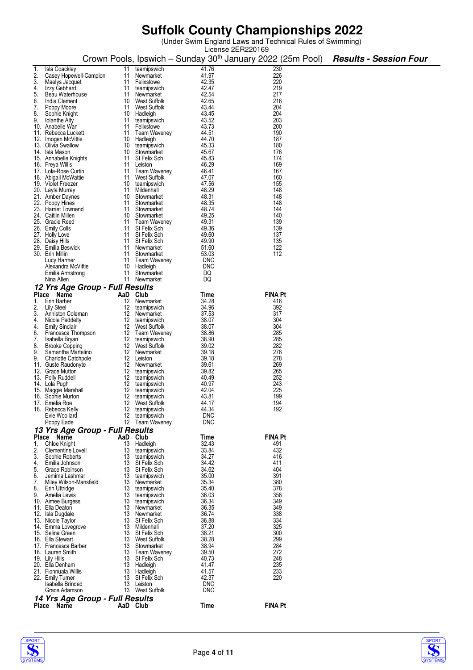(Under Swim England Laws and Technical Rules of Swimming)

|          |                                                   |          |                                 |                | License 2ER220169                                                      |  |                               |
|----------|---------------------------------------------------|----------|---------------------------------|----------------|------------------------------------------------------------------------|--|-------------------------------|
|          |                                                   |          |                                 |                | Crown Pools, Ipswich – Sunday 30 <sup>th</sup> January 2022 (25m Pool) |  | <b>Results - Session Four</b> |
|          |                                                   |          |                                 |                |                                                                        |  |                               |
| 1.       | Isla Coackley                                     | 11       | teamipswich                     | 41.76          | 230                                                                    |  |                               |
| 2.       | Casey Hopewell-Campion                            | 11       | Newmarket                       | 41.97          | 226                                                                    |  |                               |
| 3.       | Maelys Jacquet                                    | 11       | Felixstowe                      | 42.35<br>42.47 | 220<br>219                                                             |  |                               |
| 4.<br>5. | Izzy Gebhard<br>Beau Waterhouse                   | 11<br>11 | teamipswich<br>Newmarket        | 42.54          | 217                                                                    |  |                               |
| 6.       | India Clement                                     | 10       | West Suffolk                    | 42.65          | 216                                                                    |  |                               |
| 7.       |                                                   | 11       | West Suffolk                    | 43.44          | 204                                                                    |  |                               |
| 8.       | Poppy Moore<br>Sophie Knight                      | 10       |                                 | 43.45          | 204                                                                    |  |                               |
| 9.       | <b>Iolanthe Alty</b>                              | 11       | Hadleigh<br>teamipswich         | 43.52          | 203                                                                    |  |                               |
|          | 10. Anabelle Wan                                  | 11       | Felixstowe                      | 43.73          | 200                                                                    |  |                               |
|          | 11. Rebecca Luckett                               | 11       | Team Waveney                    | 44.51          | 190                                                                    |  |                               |
|          | 12. Imogen McVittie                               | 10       | Hadleigh                        | 44.70          | 187                                                                    |  |                               |
|          | 13. Olivia Swallow                                | 10       | teamipswich                     | 45.33          | 180                                                                    |  |                               |
|          | 14. Isla Mason                                    | 10       | Stowmarket                      | 45.67          | 176                                                                    |  |                               |
|          | 15. Annabelle Knights                             | 11       | St Felix Sch                    | 45.83          | 174                                                                    |  |                               |
|          | 16. Freya Willis                                  | 11       | Leiston                         | 46.29          | 169                                                                    |  |                               |
|          | 17. Lola-Rose Curtin                              | 11       | Team Waveney                    | 46.41          | 167                                                                    |  |                               |
|          | 18. Abigail McWattie                              | 11       | West Suffolk                    | 47.07          | 160                                                                    |  |                               |
|          | 19. Violet Freezer                                | 10       | teamipswich                     | 47.56          | 155                                                                    |  |                               |
|          | 20. Layla Murray                                  | 11       | Mildenhall                      | 48.29          | 148                                                                    |  |                               |
|          | 21. Amber Daynes                                  | 10       | Stowmarket                      | 48.31          | 148                                                                    |  |                               |
|          | 22. Poppy Hines                                   | 11       | Stowmarket                      | 48.35          | 148                                                                    |  |                               |
|          | 23. Harriet Townend                               | 11       | Stowmarket                      | 48.74          | 144                                                                    |  |                               |
|          | 24. Caitlin Millen                                | 10       | Stowmarket                      | 49.25          | 140                                                                    |  |                               |
|          | 25. Gracie Reed                                   | 11       | Team Waveney                    | 49.31          | 139                                                                    |  |                               |
|          | 26. Emily Colls                                   | 11       | St Felix Sch                    | 49.36          | 139                                                                    |  |                               |
|          | 27. Holly Love                                    | 11       | St Felix Sch                    | 49.60          | 137                                                                    |  |                               |
|          | 28. Daisy Hills                                   | 11       | St Felix Sch                    | 49.90          | 135                                                                    |  |                               |
|          | 29. Emilia Beswick                                | 11       | Newmarket                       | 51.60          | 122                                                                    |  |                               |
|          | 30. Erin Millin                                   | 11       | Stowmarket                      | 53.03          | 112                                                                    |  |                               |
|          | Lucy Harmer                                       | 11       | Team Waveney                    | <b>DNC</b>     |                                                                        |  |                               |
|          | Alexandra McVittie                                | 10       | Hadleigh                        | DNC            |                                                                        |  |                               |
|          | Emilia Armstrong                                  | 11       | Stowmarket                      | DQ             |                                                                        |  |                               |
|          | Nina Allen                                        | 11       | Newmarket                       | DQ             |                                                                        |  |                               |
|          | 12 Yrs Age Group - Full Results                   |          |                                 |                |                                                                        |  |                               |
|          | Place<br>Name                                     | AaD      | Club                            | Time           | <b>FINA Pt</b>                                                         |  |                               |
| 1.       | Erin Barber                                       | 12       | Newmarket                       | 34.28          | 416                                                                    |  |                               |
| 2.       | Lily Steel                                        | 12       | teamipswich                     | 34.96          | 392                                                                    |  |                               |
| 3.       | Anniston Coleman                                  | 12       | Newmarket                       | 37.53          | 317                                                                    |  |                               |
| 4.       | Nicole Peddelty                                   | 12       | teamipswich                     | 38.07          | 304                                                                    |  |                               |
| 4.       | <b>Emily Sinclair</b>                             | 12       | West Suffolk                    | 38.07          | 304                                                                    |  |                               |
| 6.       | Francesca Thompson                                | 12       | Team Waveney                    | 38.86          | 285                                                                    |  |                               |
| 7.       | Isabella Bryan                                    | 12<br>12 | teamipswich                     | 38.90<br>39.02 | 285<br>282                                                             |  |                               |
| 8.<br>9. | <b>Brooke Copping</b><br>Samantha Martelino       | 12       | West Suffolk<br>Newmarket       | 39.18          | 278                                                                    |  |                               |
| 9.       |                                                   | 12       | Leiston                         | 39.18          | 278                                                                    |  |                               |
|          | <b>Charlotte Catchpole</b><br>11. Guste Raudonyte | 12       | Newmarket                       | 39.61          | 269                                                                    |  |                               |
|          | 12. Grace Mutton                                  | 12       | teamipswich                     | 39.82          | 265                                                                    |  |                               |
|          | 13. Polly Ruddell                                 | 12       | teamipswich                     | 40.49          | 252                                                                    |  |                               |
|          | 14. Lola Pugh                                     | 12       | teamipswich                     | 40.97          | 243                                                                    |  |                               |
|          | 15. Maggie Marshall                               | 12       | teamipswich                     | 42.04          | 225                                                                    |  |                               |
|          | 16. Sophie Murton                                 | 12       | teamipswich                     | 43.81          | 199                                                                    |  |                               |
|          | 17. Emelia Roe                                    | 12       | <b>West Suffolk</b>             | 44.17          | 194                                                                    |  |                               |
|          | 18. Rebecca Kelly                                 | 12       | teamipswich                     | 44.34          | 192                                                                    |  |                               |
|          | Evie Woollard                                     | 12       | teamipswich                     | <b>DNC</b>     |                                                                        |  |                               |
|          | Poppy Eade                                        |          | 12 Team Waveney                 | DNC            |                                                                        |  |                               |
|          | 13 Yrs Age Group - Full Results                   |          |                                 |                |                                                                        |  |                               |
|          | Place Name                                        | AaD Club |                                 | Time           | <b>FINA Pt</b>                                                         |  |                               |
| 1.       | Chloe Knight                                      | 13       | Hadleigh                        | 32.43          | 491                                                                    |  |                               |
| 2.       | Clementine Lovell                                 | 13       | teamipswich                     | 33.84          | 432                                                                    |  |                               |
| 3.       | Sophie Roberts                                    | 13       | teamipswich                     | 34.27          | 416                                                                    |  |                               |
| 4.       | Emilia Johnson                                    | 13       | St Felix Sch                    | 34.42          | 411                                                                    |  |                               |
| 5.       | Grace Robinson                                    |          | 13 St Felix Sch                 | 34.62          | 404                                                                    |  |                               |
| 6.       | Jemima Lashmar                                    | 13       | teamipswich                     | 35.00          | 391                                                                    |  |                               |
| 7.       | Miley Wilson-Mansfield                            | 13       | Newmarket                       | 35.34          | 380                                                                    |  |                               |
| 8.       | Erin Uttridge                                     | 13       | teamipswich                     | 35.40          | 378                                                                    |  |                               |
| 9.       | Amelia Lewis                                      | 13       | teamipswich                     | 36.03          | 358                                                                    |  |                               |
|          | 10. Aimee Burgess                                 | 13       | teamipswich                     | 36.34          | 349                                                                    |  |                               |
|          | 11. Ella Deaton                                   | 13       | Newmarket                       | 36.35          | 349                                                                    |  |                               |
|          | 12. Isla Dugdale                                  | 13       | Newmarket                       | 36.74          | 338                                                                    |  |                               |
|          | 13. Nicole Taylor                                 | 13       | St Felix Sch                    | 36.88          | 334                                                                    |  |                               |
|          | 14. Emma Lovegrove                                | 13       | Mildenhall                      | 37.20          | 325                                                                    |  |                               |
|          | 15. Selina Green                                  | 13       | St Felix Sch                    | 38.21          | 300                                                                    |  |                               |
|          | 16. Ella Stewart                                  | 13       | West Suffolk                    | 38.28          | 299                                                                    |  |                               |
|          | 17. Francesca Barber                              |          | 13 Stowmarket                   | 38.94<br>39.50 | 284<br>272                                                             |  |                               |
|          | 18. Lauren Smith<br>19. Lily Hills                | 13       | 13 Team Waveney<br>St Felix Sch | 40.73          | 248                                                                    |  |                               |
|          | 20. Ella Denham                                   | 13       | Hadleigh                        | 41.47          | 235                                                                    |  |                               |
|          | 21. Fionnuala Willis                              | 13       | Hadleigh                        | 41.57          | 233                                                                    |  |                               |
|          | 22. Emily Turner                                  | 13       | St Felix Sch                    | 42.37          | 220                                                                    |  |                               |
|          | Isabella Brinded                                  | 13       | Leiston                         | <b>DNC</b>     |                                                                        |  |                               |
|          | Grace Adamson                                     |          | 13 West Suffolk                 | <b>DNC</b>     |                                                                        |  |                               |
|          | 14 Yrs Age Group - Full Results                   |          |                                 |                |                                                                        |  |                               |
|          | Place Name                                        | AaD Club |                                 | <b>Time</b>    | <b>FINA Pt</b>                                                         |  |                               |
|          |                                                   |          |                                 |                |                                                                        |  |                               |



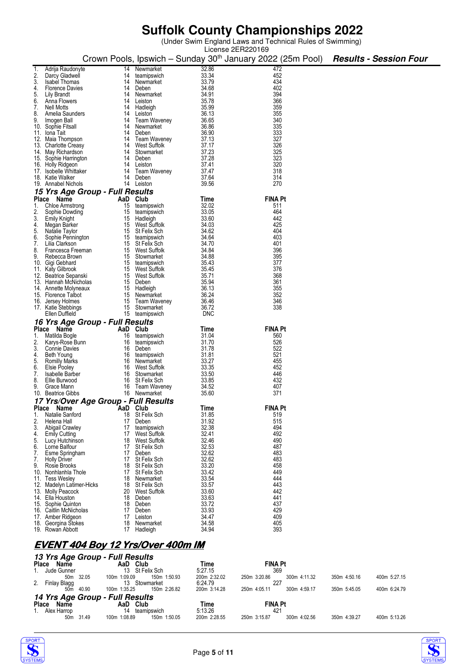(Under Swim England Laws and Technical Rules of Swimming)

|          |                                             |          |                                    |                | License 2ER220169                                                      |                               |
|----------|---------------------------------------------|----------|------------------------------------|----------------|------------------------------------------------------------------------|-------------------------------|
|          |                                             |          |                                    |                | Crown Pools, Ipswich – Sunday 30 <sup>th</sup> January 2022 (25m Pool) | <b>Results - Session Four</b> |
|          |                                             |          |                                    |                |                                                                        |                               |
|          | Adrija Raudonyte                            | 14       | Newmarket                          | 32.86          | 472                                                                    |                               |
|          | Darcy Gladwell                              | 14       | teamipswich                        | 33.34          | 452                                                                    |                               |
| 3.       | <b>Isabel Thomas</b>                        | 14       | Newmarket                          | 33.79          | 434<br>402                                                             |                               |
| 4.<br>5. | <b>Florence Davies</b><br>Lily Brandt       | 14<br>14 | Deben<br>Newmarket                 | 34.68<br>34.91 | 394                                                                    |                               |
| 6.       | Anna Flowers                                | 14       | Leiston                            | 35.78          | 366                                                                    |                               |
| 7.       | Nell Motts                                  | 14       | Hadleigh                           | 35.99          | 359                                                                    |                               |
| 8.       | Amelia Saunders                             | 14       | Leiston                            | 36.13          | 355                                                                    |                               |
| 9.       | Imogen Ball                                 | 14       | <b>Team Waveney</b>                | 36.65          | 340                                                                    |                               |
|          | 10. Sophie Fitsall                          | 14       | Newmarket                          | 36.86          | 335                                                                    |                               |
|          | 11. Iona Tait                               | 14       | Deben                              | 36.90          | 333                                                                    |                               |
|          | 12. Maia Thompson                           | 14       | <b>Team Waveney</b>                | 37.13          | 327                                                                    |                               |
|          | 13. Charlotte Creasy                        | 14       | West Suffolk                       | 37.17          | 326                                                                    |                               |
|          | 14. May Richardson                          | 14       | Stowmarket                         | 37.23          | 325                                                                    |                               |
|          | 15. Sophie Harrington                       | 14       | Deben                              | 37.28<br>37.41 | 323<br>320                                                             |                               |
|          | 16. Holly Ridgeon<br>17. Isobelle Whittaker | 14<br>14 | Leiston<br>Team Waveney            | 37.47          | 318                                                                    |                               |
|          | 18. Katie Walker                            | 14       | Deben                              | 37.64          | 314                                                                    |                               |
|          | 19. Annabel Nichols                         | 14       | Leiston                            | 39.56          | 270                                                                    |                               |
|          | 15 Yrs Age Group - Full Results             |          |                                    |                |                                                                        |                               |
|          | Place Name                                  | AaD Club |                                    | Time           | <b>FINA Pt</b>                                                         |                               |
| 1.       | Chloe Armstrong                             | 15       | teamipswich                        | 32.02          | 511                                                                    |                               |
| 2.       | Sophie Dowding                              |          | 15 teamipswich                     | 33.05          | 464                                                                    |                               |
| 3.       | <b>Emily Knight</b>                         | 15       | Hadleigh                           | 33.60          | 442                                                                    |                               |
| 4.       | Megan Barker                                |          | 15 West Suffolk                    | 34.03          | 425                                                                    |                               |
| 5.       | Natalie Taylor                              |          | 15 St Felix Sch                    | 34.62          | 404                                                                    |                               |
| 6.       | Sophie Pennington                           |          | 15 teamipswich                     | 34.64          | 403                                                                    |                               |
| 7.       | Lilia Clarkson                              |          | 15 St Felix Sch                    | 34.70          | 401                                                                    |                               |
| 8.       | Francesca Freeman                           |          | 15 West Suffolk                    | 34.84          | 396                                                                    |                               |
| 9.       | Rebecca Brown                               |          | 15 Stowmarket                      | 34.88          | 395                                                                    |                               |
|          | 10. Gigi Gebhard<br>11. Katy Gilbrook       |          | 15 teamipswich<br>15 West Suffolk  | 35.43<br>35.45 | 377<br>376                                                             |                               |
|          | 12. Beatrice Sepanski                       |          | 15 West Suffolk                    | 35.71          | 368                                                                    |                               |
|          | 13. Hannah McNicholas                       |          | 15 Deben                           | 35.94          | 361                                                                    |                               |
|          | 14. Annette Molyneaux                       |          | 15 Hadleigh                        | 36.13          | 355                                                                    |                               |
|          | 15. Florence Talbot                         | 15       | Newmarket                          | 36.24          | 352                                                                    |                               |
|          | 16. Jersey Holmes                           |          | 15 Team Waveney                    | 36.46          | 346                                                                    |                               |
|          | 17. Katie Stebbings                         |          | 15 Stowmarket                      | 36.72          | 338                                                                    |                               |
|          | Ellen Duffield                              |          | 15 teamipswich                     | <b>DNC</b>     |                                                                        |                               |
|          | 16 Yrs Age Group - Full Results             |          |                                    |                |                                                                        |                               |
|          | Place Name                                  | AaD Club |                                    | Time           | <b>FINA Pt</b>                                                         |                               |
| 1.       | Matilda Bogle                               | 16       | teamipswich                        | 31.04          | 560                                                                    |                               |
|          | Karys-Rose Bunn                             | 16       | teamipswich                        | 31.70          | 526                                                                    |                               |
| 3.       | <b>Connie Davies</b>                        | 16       | Deben                              | 31.78          | 522                                                                    |                               |
| 4.<br>5. | Beth Young<br><b>Romilly Marks</b>          | 16       | 16 teamipswich<br>Newmarket        | 31.81<br>33.27 | 521<br>455                                                             |                               |
| 6.       | Elsie Pooley                                | 16       | West Suffolk                       | 33.35          | 452                                                                    |                               |
| 7.       | Isabelle Barber                             |          | 16 Stowmarket                      | 33.50          | 446                                                                    |                               |
| 8.       | Ellie Burwood                               | 16       | St Felix Sch                       | 33.85          | 432                                                                    |                               |
| 9.       | Grace Mann                                  | 16       | Team Waveney                       | 34.52          | 407                                                                    |                               |
|          | 10. Beatrice Gibbs                          |          | 16 Newmarket                       | 35.60          | 371                                                                    |                               |
|          | 17 Yrs/Over Age Group - Full Results        |          |                                    |                |                                                                        |                               |
|          | Place Name                                  | AaD Club |                                    | Time           | <b>FINA Pt</b>                                                         |                               |
| 1.       | Natalie Sanford                             | 18       | <b>St Felix Sch</b>                | 31.85          | 519                                                                    |                               |
| 2.       | Helena Hall                                 |          | 17 Deben                           | 31.92          | 515                                                                    |                               |
| 3.       | <b>Abigail Crawley</b>                      | 17       | teamipswich                        | 32.38          | 494                                                                    |                               |
| 4.       | <b>Emily Cutting</b>                        | 17       | West Suffolk                       | 32.41          | 492                                                                    |                               |
| 5.<br>6. | Lucy Hutchinson<br>Lorne Balfour            |          | 18 West Suffolk<br>17 St Felix Sch | 32.46<br>32.53 | 490<br>487                                                             |                               |
| 7.       | Esme Springham                              | 17       | Deben                              | 32.62          | 483                                                                    |                               |
| 7.       | <b>Holly Driver</b>                         | 17       | St Felix Sch                       | 32.62          | 483                                                                    |                               |
| 9.       | Rosie Brooks                                |          | 18 St Felix Sch                    | 33.20          | 458                                                                    |                               |
|          | 10. Nonhlanhla Thole                        | 17       | <b>St Felix Sch</b>                | 33.42          | 449                                                                    |                               |
|          | 11. Tess Wesley                             | 18       | Newmarket                          | 33.54          | 444                                                                    |                               |
|          | 12. Madelyn Latimer-Hicks                   |          | 18 St Felix Sch                    | 33.57          | 443                                                                    |                               |
|          | 13. Molly Peacock                           | 20       | West Suffolk                       | 33.60          | 442                                                                    |                               |
|          | 14. Ella Houston                            |          | 18 Deben                           | 33.63          | 441                                                                    |                               |
|          | 15. Sophie Quinton                          |          | 18 Deben                           | 33.72          | 437                                                                    |                               |
|          | 16. Caitlin McNicholas<br>17. Amber Ridgeon | 17       | Deben<br>17 Leiston                | 33.93<br>34.47 | 429<br>409                                                             |                               |
|          | 18. Georgina Stokes                         | 18       | Newmarket                          | 34.58          | 405                                                                    |                               |
|          | 19. Rowan Abbott                            | 17       | Hadleigh                           | 34.94          | 393                                                                    |                               |
|          |                                             |          |                                    |                |                                                                        |                               |
|          | EVENT ANA Roy 12 Vrs/Over ANDm IM           |          |                                    |                |                                                                        |                               |

### **EVENT404 Boy 12 Yrs/Over 400m IM 404 Boy Boy**

|         |                      |           | 13 Yrs Age Group - Full Results |              |              |                |              |              |              |
|---------|----------------------|-----------|---------------------------------|--------------|--------------|----------------|--------------|--------------|--------------|
|         | Place Name           |           | AaD Club                        |              | Time         | <b>FINA Pt</b> |              |              |              |
| 1.      | Jude Gunner          |           | 13                              | St Felix Sch | 5:27.15      | 369            |              |              |              |
|         |                      | 50m 32.05 | 100m 1:09.09                    | 150m 1:50.93 | 200m 2:32.02 | 250m 3:20.86   | 300m 4:11.32 | 350m 4:50.16 | 400m 5:27.15 |
| 2.      | Finlay Blagg         |           | 13                              | Stowmarket   | 6:24.79      | 227            |              |              |              |
|         | 50 <sub>m</sub>      | 40.90     | 100m 1:35.25                    | 150m 2:26.82 | 200m 3:14.28 | 250m 4:05.11   | 300m 4:59.17 | 350m 5:45.05 | 400m 6:24.79 |
|         |                      |           | 14 Yrs Age Group - Full Results |              |              |                |              |              |              |
|         | <b>Place</b><br>Name |           | AaD Club                        |              | Time         | <b>FINA Pt</b> |              |              |              |
| $1_{-}$ | Alex Harrop          |           | 14                              | teamipswich  | 5:13.26      | 421            |              |              |              |
|         | 50 <sub>m</sub>      | 31.49     | 100m 1:08.89                    | 150m 1:50.05 | 200m 2:28.55 | 250m 3:15.87   | 300m 4:02.56 | 350m 4:39.27 | 400m 5:13.26 |



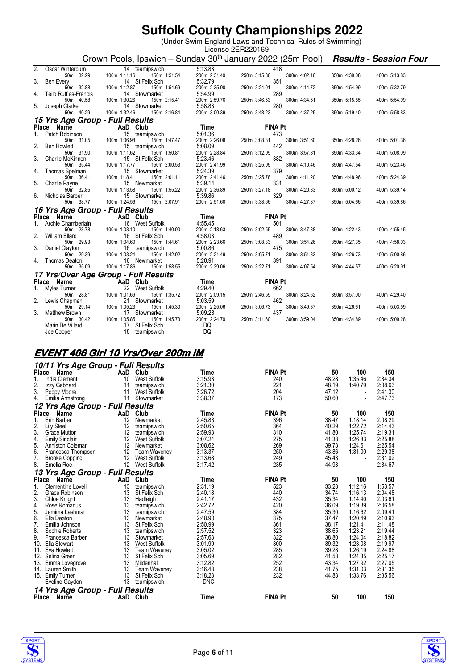(Under Swim England Laws and Technical Rules of Swimming)

|                        |                                                  |                 |                                                                        |                         | License 2ER220169   |              |                |                    |                               |  |
|------------------------|--------------------------------------------------|-----------------|------------------------------------------------------------------------|-------------------------|---------------------|--------------|----------------|--------------------|-------------------------------|--|
|                        |                                                  |                 | Crown Pools, Ipswich – Sunday 30 <sup>th</sup> January 2022 (25m Pool) |                         |                     |              |                |                    | <b>Results - Session Four</b> |  |
| 2.                     | Oscar Winterburn                                 |                 | 14 teamipswich                                                         | 5:13.83                 | 418                 |              |                |                    |                               |  |
|                        | 50m 32.29                                        | 100m 1:11.16    | 150m 1:51.54                                                           | 200m 2:31.49            | 250m 3:15.86        | 300m 4:02.16 |                | 350m 4:39.08       | 400m 5:13.83                  |  |
| 3.                     | <b>Ben Every</b><br>50m 32.88                    | 100m 1:12.87    | 14 St Felix Sch<br>150m 1:54.69                                        | 5:32.79<br>200m 2:35.90 | 351<br>250m 3:24.01 | 300m 4:14.72 |                | 350m 4:54.99       | 400m 5:32.79                  |  |
| 4.                     | Teilo Ruffles-Francis                            |                 | 14 Stowmarket                                                          | 5:54.99                 | 289                 |              |                |                    |                               |  |
|                        | 50m 40.58                                        | 100m 1:30.26    | 150m 2:15.41                                                           | 200m 2:59.76            | 250m 3:46.53        | 300m 4:34.51 |                | 350m 5:15.55       | 400m 5:54.99                  |  |
| 5.                     | Joseph Clarke<br>50m 40.29                       | 100m 1:32.46    | 14 Stowmarket<br>150m 2:16.84                                          | 5:58.83<br>200m 3:00.39 | 280                 | 300m 4:37.25 |                | 350m 5:19.40       | 400m 5:58.83                  |  |
|                        | <i><b>15 Yrs Age Group - Full Results</b></i>    |                 |                                                                        |                         | 250m 3:48.23        |              |                |                    |                               |  |
|                        | <b>Place</b><br>Name                             | AaD Club        |                                                                        | Time                    | <b>FINA Pt</b>      |              |                |                    |                               |  |
| 1.                     | Patch Robinson                                   |                 | 15 teamipswich                                                         | 5:01.36                 | 473                 |              |                |                    |                               |  |
|                        | 50m 31.05                                        | 100m 1:06.98    | 150m 1:47.47                                                           | 200m 2:26.08            | 250m 3:08.31        | 300m 3:51.60 |                | 350m 4:28.26       | 400m 5:01.36                  |  |
| 2.                     | <b>Ben Howlett</b><br>50m 31.90                  | 100m 1:11.62    | 15 teamipswich<br>150m 1:50.81                                         | 5:08.09<br>200m 2:28.84 | 442                 | 300m 3:57.81 |                |                    |                               |  |
| 3.                     | Charlie McKinnon                                 |                 | 15 St Felix Sch                                                        | 5:23.46                 | 250m 3:12.99<br>382 |              |                | 350m 4:33.34       | 400m 5:08.09                  |  |
|                        | 50m 35.44                                        | 100m 1:17.77    | 150m 2:00.53                                                           | 200m 2:41.99            | 250m 3:25.95        | 300m 4:10.46 |                | 350m 4:47.54       | 400m 5:23.46                  |  |
| 4.                     | Thomas Spelman                                   |                 | 15 Stowmarket                                                          | 5:24.39                 | 379                 |              |                |                    |                               |  |
| 5.                     | 50m 36.41<br>Charlie Payne                       | 100m 1:18.41    | 150m 2:01.11<br>15 Newmarket                                           | 200m 2:41.46<br>5:39.14 | 250m 3:25.78<br>331 | 300m 4:11.20 |                | 350m 4:48.96       | 400m 5:24.39                  |  |
|                        | 50m 32.85                                        | 100m 1:13.58    | 150m 1:55.22                                                           | 200m 2:36.89            | 250m 3:27.18        | 300m 4:20.33 |                | 350m 5:00.12       | 400m 5:39.14                  |  |
| 6.                     | Nicholas Barber                                  |                 | 15 Stowmarket                                                          | 5:39.86                 | 329                 |              |                |                    |                               |  |
|                        | 50m 38.77                                        | 100m 1:24.56    | 150m 2:07.91                                                           | 200m 2:51.60            | 250m 3:38.66        | 300m 4:27.37 |                | 350m 5:04.66       | 400m 5:39.86                  |  |
|                        | 16 Yrs Age Group - Full Results                  |                 |                                                                        |                         |                     |              |                |                    |                               |  |
|                        | Place Name                                       | AaD Club        |                                                                        | Time                    | <b>FINA Pt</b>      |              |                |                    |                               |  |
| 1.                     | Archie Chamberlain<br>50m 28.78                  | 100m 1:03.10    | 16 West Suffolk<br>150m 1:40.90                                        | 4:55.45<br>200m 2:18.63 | 501<br>250m 3:02.55 | 300m 3:47.38 |                | 350m 4:22.43       | 400m 4:55.45                  |  |
| 2.                     | William Ellard                                   |                 | 16 St Felix Sch                                                        | 4:58.03                 | 489                 |              |                |                    |                               |  |
|                        | 50m 29.93                                        | 100m 1:04.60    | 150m 1:44.61                                                           | 200m 2:23.66            | 250m 3:08.33        | 300m 3:54.26 |                | 350m 4:27.35       | 400m 4:58.03                  |  |
| 3.                     | Daniel Clayton                                   |                 | 16 teamipswich                                                         | 5:00.86                 | 475                 |              |                |                    |                               |  |
| 4.                     | 50m 29.39<br>Thomas Deaton                       | 100m 1:03.24    | 150m 1:42.92<br>16 Newmarket                                           | 200m 2:21.49<br>5:20.91 | 250m 3:05.71<br>391 | 300m 3:51.33 |                | 350m 4:26.73       | 400m 5:00.86                  |  |
|                        | 50m 35.09                                        | 100m 1:17.86    | 150m 1:58.55                                                           | 200m 2:39.06            | 250m 3:22.71        | 300m 4:07.54 |                | 350m 4:44.57       | 400m 5:20.91                  |  |
|                        | 17 Yrs/Over Age Group - Full Results             |                 |                                                                        |                         |                     |              |                |                    |                               |  |
|                        | Name<br><b>Place</b>                             | AaD Club        |                                                                        | Time                    | <b>FINA Pt</b>      |              |                |                    |                               |  |
| 1.                     | Myles Turner                                     |                 | 22 West Suffolk                                                        | 4:29.40                 | 662                 |              |                |                    |                               |  |
| 2.                     | 50m 28.81<br>Lewis Chapman                       | 100m 1:01.69    | 150m 1:35.72<br>21 Stowmarket                                          | 200m 2:09.15<br>5:03.59 | 250m 2:46.59<br>462 | 300m 3:24.62 |                | 350m 3:57.00       | 400m 4:29.40                  |  |
|                        | 50m 29.14                                        | 100m 1:05.23    | 150m 1:45.30                                                           | 200m 2:25.06            | 250m 3:06.73        | 300m 3:49.37 |                | 350m 4:26.61       | 400m 5:03.59                  |  |
| 3.                     | Matthew Brown                                    |                 | 17 Stowmarket                                                          | 5:09.28                 | 437                 |              |                |                    |                               |  |
|                        | 50m 30.42                                        | 100m 1:05.85    | 150m 1:45.73                                                           | 200m 2:24.79            | 250m 3:11.60        | 300m 3:59.04 |                | 350m 4:34.89       | 400m 5:09.28                  |  |
|                        | Marin De Villard<br>Joe Cooper                   |                 | 17 St Felix Sch<br>18 teamipswich                                      | DQ<br>DQ                |                     |              |                |                    |                               |  |
|                        |                                                  |                 |                                                                        |                         |                     |              |                |                    |                               |  |
|                        |                                                  |                 |                                                                        |                         |                     |              |                |                    |                               |  |
|                        | <b>EVENT 406 Girl 10 Yrs/Over 200m IM</b>        |                 |                                                                        |                         |                     |              |                |                    |                               |  |
|                        |                                                  |                 |                                                                        |                         |                     |              |                |                    |                               |  |
|                        | 10/11 Yrs Age Group - Full Results<br>Place Name | AaD Club        |                                                                        |                         | <b>FINA Pt</b>      |              | 50             | 100                | 150                           |  |
| 1.                     | India Clement                                    | 10              | West Suffolk                                                           | Time<br>3:15.93         | 240                 |              | 48.28          | 1:35.46            | 2:34.34                       |  |
|                        | Izzy Gebhard                                     | 11              | teamipswich                                                            | 3:21.30                 | 221                 |              | 48.19          | 1:40.79            | 2:38.63                       |  |
| 3.                     | Poppy Moore                                      | 11              | West Suffolk                                                           | 3:26.72                 | 204                 |              | 47.12          |                    | 2:41.30                       |  |
| 4.                     | Emilia Armstrong                                 |                 | 11 Stowmarket                                                          | 3:38.37                 | 173                 |              | 50.60          |                    | 2:47.73                       |  |
|                        | 12 Yrs Age Group - Full Results                  |                 |                                                                        |                         |                     |              |                |                    |                               |  |
|                        | Place Name                                       | AaD Club        |                                                                        | Time                    | <b>FINA Pt</b>      |              | 50             | 100                | 150                           |  |
| 1.<br>2.               | Erin Barber<br>Lily Steel                        | 12              | 12 Newmarket<br>teamipswich                                            | 2:45.83<br>2:50.65      | 396<br>364          |              | 38.47<br>40.29 | 1:18.14<br>1:22.72 | 2:08.29<br>2:14.43            |  |
| 3.                     | Grace Mutton                                     | 12              | teamipswich                                                            | 2:59.93                 | 310                 |              | 41.80          | 1:25.74            | 2:19.31                       |  |
| $\boldsymbol{\Lambda}$ | <b>Emily Sinclair</b>                            | 12 <sup>1</sup> | West Suffolk                                                           | 3.0724                  | 275                 |              | 41.38          | 1.2683             | 2.25.88                       |  |

|                 | 10/11 Yrs Age Group - Full Results |                   |                     |            |                |       |                          |         |
|-----------------|------------------------------------|-------------------|---------------------|------------|----------------|-------|--------------------------|---------|
| Place           | Name                               | AaD               | Club                | Time       | <b>FINA Pt</b> | 50    | 100                      | 150     |
| 1.              | India Clement                      | 10                | <b>West Suffolk</b> | 3:15.93    | 240            | 48.28 | 1:35.46                  | 2:34.34 |
| $\frac{2}{3}$ . | Izzy Gebhard                       | 11                | teamipswich         | 3:21.30    | 221            | 48.19 | 1:40.79                  | 2:38.63 |
|                 | Poppy Moore                        | 11                | West Suffolk        | 3:26.72    | 204            | 47.12 | $\blacksquare$           | 2:41.30 |
| 4.              | Emilia Armstrong                   | 11                | Stowmarket          | 3:38.37    | 173            | 50.60 |                          | 2:47.73 |
|                 | 12 Yrs Age Group - Full Results    |                   |                     |            |                |       |                          |         |
| Place           | Name                               | AaD               | Club                | Time       | <b>FINA Pt</b> | 50    | 100                      | 150     |
| 1.              | Erin Barber                        | 12                | Newmarket           | 2:45.83    | 396            | 38.47 | 1:18.14                  | 2:08.29 |
| 2.              | <b>Lily Steel</b>                  | 12                | teamipswich         | 2:50.65    | 364            | 40.29 | 1:22.72                  | 2:14.43 |
| 3.              | <b>Grace Mutton</b>                | 12                | teamipswich         | 2:59.93    | 310            | 41.80 | 1:25.74                  | 2:19.31 |
| 4.              | <b>Emily Sinclair</b>              | 12                | <b>West Suffolk</b> | 3:07.24    | 275            | 41.38 | 1:26.83                  | 2:25.88 |
| 5.              | Anniston Coleman                   | 12                | Newmarket           | 3:08.62    | 269            | 39.73 | 1:24.61                  | 2:25.54 |
| 6.              | Francesca Thompson                 | 12                | <b>Team Waveney</b> | 3:13.37    | 250            | 43.86 | 1:31.00                  | 2:29.38 |
| 7.              | <b>Brooke Copping</b>              | 12                | West Suffolk        | 3:13.68    | 249            | 45.43 | $\overline{\phantom{a}}$ | 2:31.02 |
| 8.              | Emelia Roe                         | $12 \overline{ }$ | <b>West Suffolk</b> | 3:17.42    | 235            | 44.93 | ٠                        | 2:34.67 |
|                 | 13 Yrs Age Group - Full Results    |                   |                     |            |                |       |                          |         |
| Place           | Name                               | AaD               | Club                | Time       | <b>FINA Pt</b> | 50    | 100                      | 150     |
|                 | <b>Clementine Lovell</b>           | 13                | teamipswich         | 2:31.19    | 523            | 33.23 | 1:12.16                  | 1:53.57 |
| 2.              | Grace Robinson                     | 13                | St Felix Sch        | 2:40.18    | 440            | 34.74 | 1:16.13                  | 2:04.48 |
| 3.              | Chloe Knight                       | 13                | Hadleigh            | 2:41.17    | 432            | 35.34 | 1:14.40                  | 2:03.61 |
| 4.              | Rose Romanus                       | 13                | teamipswich         | 2:42.72    | 420            | 36.09 | 1:19.39                  | 2:06.58 |
| 5.              | Jemima Lashmar                     | 13                | teamipswich         | 2:47.59    | 384            | 35.30 | 1:16.62                  | 2:09.41 |
| 6.              | Ella Deaton                        | 13                | Newmarket           | 2:48.90    | 375            | 37.47 | 1:20.49                  | 2:10.93 |
| 7.              | Emilia Johnson                     | 13                | St Felix Sch        | 2:50.99    | 361            | 38.17 | 1:21.41                  | 2:11.48 |
| 8.              | Sophie Roberts                     | 13                | teamipswich         | 2:57.52    | 323            | 38.65 | 1:23.21                  | 2:19.44 |
| 9.              | Francesca Barber                   | 13                | Stowmarket          | 2:57.63    | 322            | 38.80 | 1:24.04                  | 2:18.82 |
| 10.             | Ella Stewart                       | 13                | <b>West Suffolk</b> | 3:01.99    | 300            | 39.32 | 1:23.08                  | 2:19.97 |
| 11.             | Eva Howlett                        | 13                | <b>Team Waveney</b> | 3:05.02    | 285            | 39.28 | 1:26.19                  | 2:24.88 |
| 12.             | Selina Green                       | 13                | St Felix Sch        | 3:05.69    | 282            | 41.58 | 1:24.35                  | 2:25.17 |
| 13.             | Emma Lovegrove                     | 13                | Mildenhall          | 3:12.82    | 252            | 43.34 | 1:27.92                  | 2:27.05 |
| 14.             | Lauren Smith                       | 13                | <b>Team Waveney</b> | 3:16.48    | 238            | 41.75 | 1:31.03                  | 2:31.35 |
| 15.             | <b>Emily Turner</b>                | 13                | St Felix Sch        | 3:18.23    | 232            | 44.83 | 1:33.76                  | 2:35.56 |
|                 | Eveline Gaydon                     | 13                | teamipswich         | <b>DNC</b> |                |       |                          |         |
|                 | 14 Yrs Age Group - Full Results    |                   |                     |            |                |       |                          |         |
| Place           | Name                               | AaD               | Club                | Time       | <b>FINA Pt</b> | 50    | 100                      | 150     |



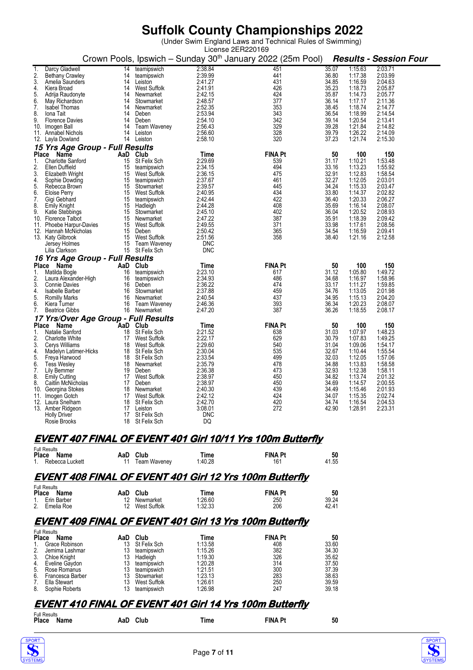(Under Swim England Laws and Technical Rules of Swimming)

|                                                         |          |                                    | License 2ER220169     |                                                                                               |                |                    |                    |
|---------------------------------------------------------|----------|------------------------------------|-----------------------|-----------------------------------------------------------------------------------------------|----------------|--------------------|--------------------|
|                                                         |          |                                    |                       | Crown Pools, Ipswich - Sunday 30 <sup>th</sup> January 2022 (25m Pool) Results - Session Four |                |                    |                    |
| Darcy Gladwell<br>1.                                    | 14       | teamipswich                        | 2:38.84               | 451                                                                                           | 35.07          | 1:15.63            | 2:03.71            |
| $\frac{2}{3}$<br><b>Bethany Crawley</b>                 | 14       | teamipswich                        | 2:39.99               | 441                                                                                           | 36.80          | 1:17.38            | 2:03.99            |
| Amelia Saunders                                         | 14       | Leiston                            | 2:41.27               | 431                                                                                           | 34.85          | 1:16.59            | 2:04.63            |
| 4.<br>Kiera Broad                                       |          | 14 West Suffolk                    | 2:41.91               | 426                                                                                           | 35.23          | 1:18.73            | 2:05.87            |
| 5.<br>Adrija Raudonyte                                  | 14       | Newmarket                          | 2:42.15               | 424                                                                                           | 35.87          | 1:14.73            | 2:05.77            |
| 6.<br>May Richardson                                    | 14       | Stowmarket                         | 2:48.57               | 377                                                                                           | 36.14          | 1:17.17            | 2:11.36            |
| 7.<br><b>Isabel Thomas</b>                              | 14       | Newmarket                          | 2:52.35               | 353                                                                                           | 38.45          | 1:18.74            | 2:14.77            |
| 8.<br>lona Tait                                         |          | 14 Deben                           | 2:53.94<br>2:54.10    | 343                                                                                           | 36.54          | 1:18.99            | 2:14.54            |
| 9.<br><b>Florence Davies</b>                            | 14       | Deben<br>14 Team Waveney           |                       | 342<br>329                                                                                    | 39.14<br>39.28 | 1:20.54<br>1:21.84 | 2:13.41            |
| 10. Imogen Ball<br>Annabel Nichols                      |          | 14 Leiston                         | 2:56.43<br>2:56.60    | 328                                                                                           |                | 1:26.22            | 2:14.82            |
| 11.<br>12. Layla Dowland                                |          | 14 Leiston                         | 2:58.10               | 320                                                                                           | 39.79<br>37.23 | 1:21.74            | 2:14.09<br>2:15.30 |
|                                                         |          |                                    |                       |                                                                                               |                |                    |                    |
| 15 Yrs Age Group - Full Results<br><b>Place</b><br>Name | AaD Club |                                    | Time                  | <b>FINA Pt</b>                                                                                | 50             | 100                | 150                |
| 1.<br><b>Charlotte Sanford</b>                          | 15       | St Felix Sch                       | 2:29.69               | 539                                                                                           | 31.17          | 1:10.21            | 1:53.48            |
| 2.<br>Ellen Duffield                                    | 15       | teamipswich                        | 2:34.15               | 494                                                                                           | 33.16          | 1:13.23            | 1:55.92            |
| 3.<br>Elizabeth Wright                                  |          | 15 West Suffolk                    | 2:36.15               | 475                                                                                           | 32.91          | 1:12.83            | 1:58.54            |
| 4.<br>Sophie Dowding                                    |          | 15 teamipswich                     | 2:37.67               | 461                                                                                           | 32.27          | 1:12.05            | 2:03.01            |
| 5.<br>Rebecca Brown                                     |          | 15 Stowmarket                      | 2:39.57               | 445                                                                                           | 34.24          | 1:15.33            | 2:03.47            |
| 6.<br>Eloise Perry                                      |          | 15 West Suffolk                    | 2:40.95               | 434                                                                                           | 33.80          | 1:14.37            | 2:02.82            |
| 7.<br>Gigi Gebhard                                      |          | 15 teamipswich                     | 2:42.44               | 422                                                                                           | 36.40          | 1:20.33            | 2:06.27            |
| 8.<br><b>Emily Knight</b>                               |          | 15 Hadleigh                        | 2:44.28               | 408                                                                                           | 35.69          | 1:16.14            | 2:08.07            |
| 9.<br>Katie Stebbings                                   |          | 15 Stowmarket                      | 2:45.10               | 402                                                                                           | 36.04          | 1:20.52            | 2:08.93            |
| 10.<br>Florence Talbot                                  |          | 15 Newmarket                       | 2:47.22               | 387                                                                                           | 35.91          | 1:18.39            | 2:09.42            |
| Phoebe Harpur-Davies<br>11.                             |          | 15 West Suffolk                    | 2:49.55               | 371                                                                                           | 33.98          | 1:17.61            | 2:08.56            |
| 12. Hannah McNicholas                                   |          | 15 Deben                           | 2:50.42               | 365                                                                                           | 34.54          | 1:16.59            | 2:09.41            |
| 13. Katy Gilbrook                                       |          | 15 West Suffolk                    | 2:51.56<br><b>DNC</b> | 358                                                                                           | 38.40          | 1:21.16            | 2:12.58            |
| Jersey Holmes<br>Lilia Clarkson                         |          | 15 Team Waveney<br>15 St Felix Sch | <b>DNC</b>            |                                                                                               |                |                    |                    |
| 16 Yrs Age Group - Full Results                         |          |                                    |                       |                                                                                               |                |                    |                    |
| Place Name                                              | AaD Club |                                    | Time                  | <b>FINA Pt</b>                                                                                | 50             | 100                | 150                |
| 1.<br>Matilda Bogle                                     | 16       | teamipswich                        | 2:23.10               | 617                                                                                           | 31.12          | 1:05.80            | 1:49.72            |
| 2.<br>Laura Alexander-High                              | 16       | teamipswich                        | 2:34.93               | 486                                                                                           | 34.68          | 1:16.97            | 1:58.96            |
| 3.<br><b>Connie Davies</b>                              |          | 16 Deben                           | 2:36.22               | 474                                                                                           | 33.17          | 1:11.27            | 1:59.85            |
| 4.<br>Isabelle Barber                                   | 16       | Stowmarket                         | 2:37.88               | 459                                                                                           | 34.76          | 1:13.05            | 2:01.98            |
| 5.<br><b>Romilly Marks</b>                              |          | 16 Newmarket                       | 2:40.54               | 437                                                                                           | 34.95          | 1:15.13            | 2:04.20            |
| 6.<br>Kiera Turner                                      |          | 16 Team Waveney                    | 2:46.36               | 393                                                                                           | 36.34          | 1:20.23            | 2:08.07            |
| 7.<br><b>Beatrice Gibbs</b>                             |          | 16 Newmarket                       | 2:47.20               | 387                                                                                           | 36.26          | 1:18.55            | 2:08.17            |
| 17 Yrs/Over Age Group - Full Results                    |          |                                    |                       |                                                                                               |                |                    |                    |
| Place<br>Name                                           | AaD Club |                                    | Time                  | <b>FINA Pt</b>                                                                                | 50             | 100                | 150                |
| Natalie Sanford<br>1.                                   | 18<br>17 | St Felix Sch                       | 2:21.52<br>2:22.17    | 638<br>629                                                                                    | 31.03<br>30.79 | 1:07.97<br>1:07.83 | 1:48.23<br>1:49.25 |
| 2.<br>Charlotte White<br>3.<br>Cerys Williams           |          | West Suffolk<br>18 West Suffolk    | 2:29.60               | 540                                                                                           | 31.04          | 1:09.06            | 1:54.17            |
| 4.<br>Madelyn Latimer-Hicks                             |          | 18 St Felix Sch                    | 2:30.04               | 535                                                                                           | 32.67          | 1:10.44            | 1:55.54            |
| 5.<br>Freya Harwood                                     |          | 18 St Felix Sch                    | 2:33.54               | 499                                                                                           | 32.03          | 1:12.05            | 1:57.06            |
| 6.<br><b>Tess Wesley</b>                                |          | 18 Newmarket                       | 2:35.79               | 478                                                                                           | 34.88          | 1:13.83            | 1:58.58            |
| 7.<br>Lily Bemmer                                       |          | 19 Deben                           | 2:36.38               | 473                                                                                           | 32.93          | 1:12.38            | 1:58.11            |
| 8.<br><b>Emily Cutting</b>                              |          | 17 West Suffolk                    | 2:38.97               | 450                                                                                           | 34.82          | 1:13.74            | 2:01.32            |
| 8.<br>Caitlin McNicholas                                |          | 17 Deben                           | 2:38.97               | 450                                                                                           | 34.69          | 1:14.57            | 2:00.55            |
| 10.<br>Georgina Stokes                                  |          | 18 Newmarket                       | 2:40.30               | 439                                                                                           | 34.49          | 1:15.46            | 2:01.93            |
| 11. Imogen Gotch                                        | 17       | West Suffolk                       | 2:42.12               | 424                                                                                           | 34.07          | 1:15.35            | 2:02.74            |
| 12. Laura Snelham                                       |          | 18 St Felix Sch                    | 2:42.70               | 420                                                                                           | 34.74          | 1:16.54            | 2:04.53            |
| 13. Amber Ridgeon                                       | 17       | Leiston                            | 3:08.01               | 272                                                                                           | 42.90          | 1:28.91            | 2:23.31            |
| <b>Holly Driver</b>                                     | 17       | St Felix Sch                       | <b>DNC</b>            |                                                                                               |                |                    |                    |
| Rosie Brooks                                            |          | 18 St Felix Sch                    | DQ                    |                                                                                               |                |                    |                    |
|                                                         |          |                                    |                       | <b>EVENT 407 FINAL OF EVENT 401 Girl 10/11 Yrs 100m Butterfly</b>                             |                |                    |                    |
| <b>Full Results</b>                                     |          |                                    |                       |                                                                                               |                |                    |                    |
| Place Name                                              | AaD Club |                                    | Time                  | <b>FINA Pt</b>                                                                                | 50             |                    |                    |
| Rebecca Luckett                                         |          | 11 Team Waveney                    | 1:40.28               | 161                                                                                           | 41.55          |                    |                    |

#### **EVENT 408 FINAL OF EVENT 401 Girl 12 Yrs 100m Butterfly**

|       | <b>Full Results</b> |     |              |         |                |       |
|-------|---------------------|-----|--------------|---------|----------------|-------|
| Place | Name                | AaD | Club         | Time    | <b>FINA Pt</b> | 50    |
|       | 1. Erin Barber      |     | Newmarket    | 1.26.60 | 250            | 39.24 |
| 2.    | Emelia Roe          |     | West Suffolk | 1:32.33 | 206            | 42.41 |

### **EVENT 409 FINAL OF EVENT 401 Girl 13 Yrs 100m Butterfly**

|                | <b>Full Results</b> |     |              |         |                |       |  |  |
|----------------|---------------------|-----|--------------|---------|----------------|-------|--|--|
| <b>Place</b>   | Name                | AaD | Club         | Time    | <b>FINA Pt</b> | 50    |  |  |
| $\mathbf{1}$ . | Grace Robinson      | 13  | St Felix Sch | 1:13.58 | 408            | 33.60 |  |  |
| 2.             | Jemima Lashmar      | 13  | teamipswich  | 1:15.26 | 382            | 34.30 |  |  |
| 3.             | Chloe Knight        | 13  | Hadleigh     | 1:19.30 | 326            | 35.62 |  |  |
|                | 4. Eveline Gaydon   | 13  | teamipswich  | 1:20.28 | 314            | 37.50 |  |  |
| 5.             | Rose Romanus        | 13  | teamipswich  | 1:21.51 | 300            | 37.39 |  |  |
| 6.             | Francesca Barber    | 13  | Stowmarket   | 1:23.13 | 283            | 38.63 |  |  |
| 7.             | Ella Stewart        | 13  | West Suffolk | 1:26.61 | 250            | 39.59 |  |  |
| 8.             | Sophie Roberts      | 13  | teamipswich  | 1:26.98 | 247            | 39.18 |  |  |

### **EVENT 410 FINAL OF EVENT 401 Girl 14 Yrs 100m Butterfly**

| <b>Full Results</b>  |             |     |                |    |
|----------------------|-------------|-----|----------------|----|
| <b>Place</b><br>Name | Club<br>AaD | ime | <b>FINA Pt</b> | 50 |



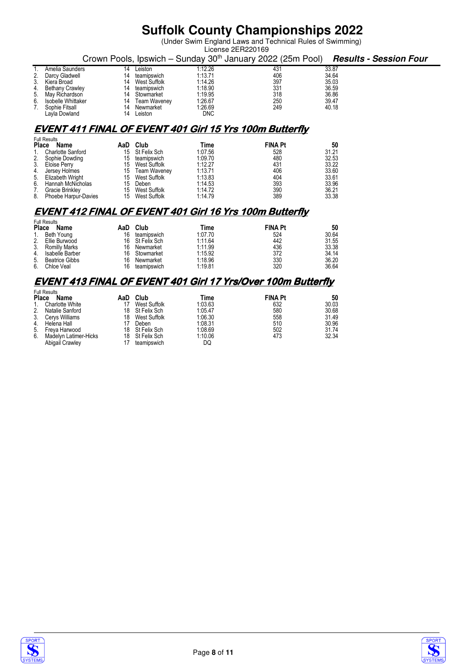(Under Swim England Laws and Technical Rules of Swimming)

|    | License 2ER220169  |    |              |            |                                                                        |       |                               |  |
|----|--------------------|----|--------------|------------|------------------------------------------------------------------------|-------|-------------------------------|--|
|    |                    |    |              |            | Crown Pools, Ipswich – Sunday 30 <sup>th</sup> January 2022 (25m Pool) |       | <b>Results - Session Four</b> |  |
|    | Amelia Saunders    | 14 | Leiston      | 1:12.26    | 431                                                                    | 33.87 |                               |  |
|    | 2. Darcy Gladwell  | 14 | teamipswich  | 1:13.71    | 406                                                                    | 34.64 |                               |  |
|    | 3. Kiera Broad     | 14 | West Suffolk | 1:14.26    | 397                                                                    | 35.03 |                               |  |
|    | 4. Bethany Crawley | 14 | teamipswich  | 1:18.90    | 331                                                                    | 36.59 |                               |  |
|    | 5. May Richardson  | 14 | Stowmarket   | 1:19.95    | 318                                                                    | 36.86 |                               |  |
| 6. | Isobelle Whittaker | 14 | Team Waveney | 1:26.67    | 250                                                                    | 39.47 |                               |  |
|    | 7. Sophie Fitsall  | 14 | Newmarket    | 1:26.69    | 249                                                                    | 40.18 |                               |  |
|    | Lavla Dowland      | 14 | Leiston      | <b>DNC</b> |                                                                        |       |                               |  |

### **EVENT 411 FINAL OF EVENT 401 Girl 15 Yrs 100m Butterfly**

|              | <b>Full Results</b>      |     |                 |         |                |       |  |
|--------------|--------------------------|-----|-----------------|---------|----------------|-------|--|
| <b>Place</b> | Name                     | AaD | Club            | Time    | <b>FINA Pt</b> | 50    |  |
| $1_{\cdot}$  | <b>Charlotte Sanford</b> |     | 15 St Felix Sch | 1:07.56 | 528            | 31.21 |  |
|              | 2. Sophie Dowding        | 15  | teamipswich     | 1:09.70 | 480            | 32.53 |  |
| 3.           | Eloise Perry             |     | 15 West Suffolk | 1:12.27 | 431            | 33.22 |  |
| 4.           | Jersey Holmes            |     | 15 Team Waveney | 1:13.71 | 406            | 33.60 |  |
|              | 5. Elizabeth Wright      |     | 15 West Suffolk | 1:13.83 | 404            | 33.61 |  |
| 6.           | Hannah McNicholas        | 15  | Deben           | 1:14.53 | 393            | 33.96 |  |
| 7.           | Gracie Brinkley          |     | 15 West Suffolk | 1:14.72 | 390            | 36.21 |  |
|              | 8. Phoebe Harpur-Davies  |     | 15 West Suffolk | 1:14.79 | 389            | 33.38 |  |

### **EVENT 412 FINAL OF EVENT 401 Girl 16 Yrs 100m Butterfly**

|       | <b>Full Results</b>   |     |                 |         |                |       |
|-------|-----------------------|-----|-----------------|---------|----------------|-------|
| Place | Name                  | AaD | Club            | Time    | <b>FINA Pt</b> | 50    |
|       | Beth Young            | 16  | teamipswich     | 1.07.70 | 524            | 30.64 |
| 2.    | Ellie Burwood         |     | 16 St Felix Sch | 1.11.64 | 442            | 31.55 |
| 3.    | <b>Romilly Marks</b>  | 16  | Newmarket       | 1:11.99 | 436            | 33.38 |
| 4.    | Isabelle Barber       | 16  | Stowmarket      | 1:15.92 | 372            | 34.14 |
| 5.    | <b>Beatrice Gibbs</b> | 16  | Newmarket       | 1:18.96 | 330            | 36.20 |
| 6.    | Chloe Veal            | 16  | teamipswich     | 1:19.81 | 320            | 36.64 |

### **EVENT 413 FINAL OF EVENT 401 Girl 17 Yrs/Over 100m Butterfly**

|              | <b>Full Results</b>    |     |                 |         |                |       |
|--------------|------------------------|-----|-----------------|---------|----------------|-------|
| <b>Place</b> | <b>Name</b>            | AaD | Club            | Time    | <b>FINA Pt</b> | 50    |
|              | <b>Charlotte White</b> |     | West Suffolk    | 1:03.63 | 632            | 30.03 |
| 2.           | Natalie Sanford        |     | 18 St Felix Sch | 1:05.47 | 580            | 30.68 |
| 3.           | Cervs Williams         | 18  | West Suffolk    | 1:06.30 | 558            | 31.49 |
| 4.           | Helena Hall            |     | Deben           | 1:08.31 | 510            | 30.96 |
| 5.           | Freva Harwood          |     | 18 St Felix Sch | 1:08.69 | 502            | 31.74 |
| 6.           | Madelyn Latimer-Hicks  |     | 18 St Felix Sch | 1:10.06 | 473            | 32.34 |
|              | Abigail Crawley        |     | teamipswich     | DQ      |                |       |



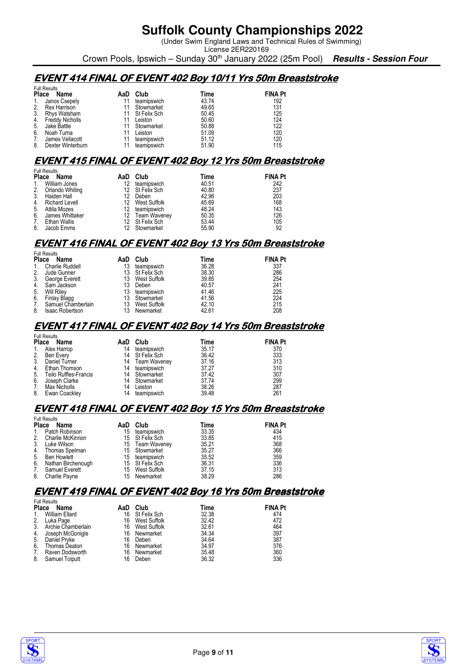(Under Swim England Laws and Technical Rules of Swimming) License 2ER220169

Crown Pools, Ipswich – Sunday 30th January 2022 (25m Pool) **Results - Session Four**

## **EVENT 414 FINAL OF EVENT 402 Boy 10/11 Yrs 50m Breaststroke**

| <b>Full Results</b> |                   |     |                 |       |                |
|---------------------|-------------------|-----|-----------------|-------|----------------|
| <b>Place</b>        | Name              | AaD | Club            | Time  | <b>FINA Pt</b> |
| 1. Janos Csepely    |                   | 11  | teamipswich     | 43.74 | 192            |
| 2.                  | Rex Harrison      |     | Stowmarket      | 49.65 | 131            |
|                     | Rhys Watsham      |     | 11 St Felix Sch | 50.45 | 125            |
|                     | Freddy Nicholls   |     | Leiston         | 50.60 | 124            |
| Jake Battle<br>5.   |                   | 11  | Stowmarket      | 50.88 | 122            |
| 6.                  | Noah Turna        |     | Leiston         | 51.09 | 120            |
|                     | James Vellacott   | 11  | teamipswich     | 51.12 | 120            |
| 8.                  | Dexter Winterburn | 11  | teamipswich     | 51.90 | 115            |
|                     |                   |     |                 |       |                |

### **EVENT 415 FINAL OF EVENT 402 Boy 12 Yrs 50m Breaststroke**

|              | <b>Full Results</b> |     |                 |       |                |  |  |
|--------------|---------------------|-----|-----------------|-------|----------------|--|--|
| <b>Place</b> | Name                | AaD | Club            | Time  | <b>FINA Pt</b> |  |  |
|              | William Jones       | 12  | teamipswich     | 40.51 | 242            |  |  |
|              | Orlando Whiting     |     | 12 St Felix Sch | 40.80 | 237            |  |  |
| 3.           | Haiden Hall         | 12  | Deben           | 42.96 | 203            |  |  |
| 4.           | Richard Levell      | 12  | West Suffolk    | 45.69 | 168            |  |  |
| 5.           | Attila Mozes        | 12  | teamipswich     | 48.24 | 143            |  |  |
| 6.           | James Whittaker     | 12  | Team Waveney    | 50.35 | 126            |  |  |
| 7.           | Ethan Wallis        |     | 12 St Felix Sch | 53.44 | 105            |  |  |
| 8.           | Jacob Emms          |     | Stowmarket      | 55.90 | 92             |  |  |

### **EVENT 416 FINAL OF EVENT 402 Boy 13 Yrs 50m Breaststroke**

|                | <b>Full Results</b>    |     |              |       |                |  |  |
|----------------|------------------------|-----|--------------|-------|----------------|--|--|
| <b>Place</b>   | Name                   | AaD | Club         | Time  | <b>FINA Pt</b> |  |  |
| $\mathbf{1}$ . | Charlie Ruddell        | 13  | teamipswich  | 36.28 | 337            |  |  |
| 2.             | Jude Gunner            | 13  | St Felix Sch | 38.30 | 286            |  |  |
| 3.             | George Everett         | 13  | West Suffolk | 39.85 | 254            |  |  |
| 4.             | Sam Jackson            | 13  | Deben        | 40.57 | 241            |  |  |
| 5.             | <b>Will Rilev</b>      | 13  | teamipswich  | 41.46 | 225            |  |  |
| 6.             | Finlay Blagg           | 13  | Stowmarket   | 41.56 | 224            |  |  |
| 7.             | Samuel Chamberlain     | 13  | West Suffolk | 42.10 | 215            |  |  |
| 8.             | <b>Isaac Robertson</b> |     | Newmarket    | 42.61 | 208            |  |  |

### **EVENT 417 FINAL OF EVENT 402 Boy 14 Yrs 50m Breaststroke**

| <b>Full Results</b> |                                                                                                     |             |                                                                                                    |                |  |  |
|---------------------|-----------------------------------------------------------------------------------------------------|-------------|----------------------------------------------------------------------------------------------------|----------------|--|--|
| Name                | AaD                                                                                                 | Club        | Time                                                                                               | <b>FINA Pt</b> |  |  |
|                     | 14                                                                                                  | teamipswich | 35.17                                                                                              | 370            |  |  |
|                     |                                                                                                     |             | 36.42                                                                                              | 333            |  |  |
| Daniel Turner       |                                                                                                     |             | 37.16                                                                                              | 313            |  |  |
|                     |                                                                                                     |             | 37.27                                                                                              | 310            |  |  |
|                     |                                                                                                     |             | 37.42                                                                                              | 307            |  |  |
| Joseph Clarke       | 14                                                                                                  |             | 37.74                                                                                              | 299            |  |  |
| Max Nicholls        | 14                                                                                                  | Leiston     | 38.26                                                                                              | 287            |  |  |
|                     | 14                                                                                                  |             | 39.48                                                                                              | 261            |  |  |
|                     | <b>Place</b><br>Alex Harrop<br>Ben Every<br>Ethan Thomson<br>Teilo Ruffles-Francis<br>Ewan Coackley |             | 14 St Felix Sch<br>14 Team Waveney<br>14 teamipswich<br>14 Stowmarket<br>Stowmarket<br>teamipswich |                |  |  |

### **EVENT 418 FINAL OF EVENT 402 Boy 15 Yrs 50m Breaststroke**

|              | <b>Full Results</b> |     |                 |       |                |  |  |
|--------------|---------------------|-----|-----------------|-------|----------------|--|--|
| <b>Place</b> | Name                | AaD | Club            | Time  | <b>FINA Pt</b> |  |  |
| 1.           | Patch Robinson      | 15  | teamipswich     | 33.35 | 434            |  |  |
| 2.           | Charlie McKinnon    |     | 15 St Felix Sch | 33.85 | 415            |  |  |
| 3.           | Luke Wilson         |     | 15 Team Waveney | 35.21 | 368            |  |  |
| 4.           | Thomas Spelman      |     | 15 Stowmarket   | 35.27 | 366            |  |  |
| 5.           | Ben Howlett         |     | 15 teamipswich  | 35.52 | 359            |  |  |
| 6.           | Nathan Birchenough  |     | 15 St Felix Sch | 36.31 | 336            |  |  |
| 7.           | Samuel Everett      | 15  | West Suffolk    | 37.15 | 313            |  |  |
| 8.           | Charlie Payne       | 15  | Newmarket       | 38.29 | 286            |  |  |

### **EVENT 419 FINAL OF EVENT 402 Boy 16 Yrs 50m Breaststroke**

|                | <b>Full Results</b>   |     |                 |       |                |  |  |
|----------------|-----------------------|-----|-----------------|-------|----------------|--|--|
| Place          | Name                  | AaD | Club            | Time  | <b>FINA Pt</b> |  |  |
| $\mathbf{1}$ . | William Ellard        |     | 16 St Felix Sch | 32.38 | 474            |  |  |
| 2.             | Luka Page             | 16  | West Suffolk    | 32.42 | 472            |  |  |
|                | 3. Archie Chamberlain | 16  | West Suffolk    | 32.61 | 464            |  |  |
| 4.             | Joseph McGonigle      | 16  | Newmarket       | 34.34 | 397            |  |  |
| 5.             | Daniel Prvke          | 16  | Deben           | 34.64 | 387            |  |  |
| 6.             | Thomas Deaton         | 16  | Newmarket       | 34.97 | 376            |  |  |
| 7.             | Raven Dodsworth       | 16  | Newmarket       | 35.48 | 360            |  |  |
| 8.             | Samuel Tolputt        | 16  | Deben           | 36.32 | 336            |  |  |



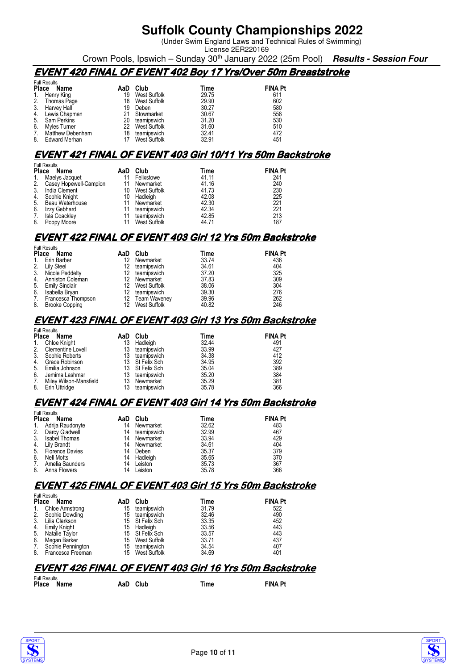(Under Swim England Laws and Technical Rules of Swimming) License 2ER220169

Crown Pools, Ipswich – Sunday 30th January 2022 (25m Pool) **Results - Session Four**

### **EVENT 420 FINAL OF EVENT 402 Boy 17 Yrs/Over 50m Breaststroke**

|                | <b>Full Results</b> |     |                 |       |                |  |  |
|----------------|---------------------|-----|-----------------|-------|----------------|--|--|
| <b>Place</b>   | Name                | AaD | Club            | Time  | <b>FINA Pt</b> |  |  |
| $\mathbf{1}$ . | Henry King          | 19  | West Suffolk    | 29.75 | 611            |  |  |
| 2.             | Thomas Page         | 18  | West Suffolk    | 29.90 | 602            |  |  |
|                | 3. Harvey Hall      | 19  | Deben           | 30.27 | 580            |  |  |
|                | 4. Lewis Chapman    |     | Stowmarket      | 30.67 | 558            |  |  |
| 5.             | Sam Perkins         | 20  | teamipswich     | 31.20 | 530            |  |  |
| 6.             | Myles Turner        |     | 22 West Suffolk | 31.60 | 510            |  |  |
| 7.             | Matthew Debenham    | 18  | teamipswich     | 32.41 | 472            |  |  |
| 8.             | Edward Merhan       |     | West Suffolk    | 32.91 | 451            |  |  |

#### **EVENT 421 FINAL OF EVENT 403 Girl 10/11 Yrs 50m Backstroke**

|              | <b>Full Results</b>    |     |                     |       |                |  |  |  |
|--------------|------------------------|-----|---------------------|-------|----------------|--|--|--|
| <b>Place</b> | Name                   | AaD | Club                | Time  | <b>FINA Pt</b> |  |  |  |
|              | Maelys Jacquet         |     | Felixstowe          | 41.11 | 241            |  |  |  |
| 2.           | Casey Hopewell-Campion | 11  | Newmarket           | 41.16 | 240            |  |  |  |
| 3.           | India Clement          | 10  | <b>West Suffolk</b> | 41.73 | 230            |  |  |  |
| 4.           | Sophie Knight          | 10  | Hadleigh            | 42.08 | 225            |  |  |  |
| 5.           | Beau Waterhouse        |     | Newmarket           | 42.30 | 221            |  |  |  |
| 6.           | Izzy Gebhard           |     | teamipswich         | 42.34 | 221            |  |  |  |
| 7.           | <b>Isla Coackley</b>   |     | teamipswich         | 42.85 | 213            |  |  |  |
| 8.           | Poppy Moore            |     | West Suffolk        | 44.71 | 187            |  |  |  |

#### **EVENT 422 FINAL OF EVENT 403 Girl 12 Yrs 50m Backstroke**

|              | <b>Full Results</b> |     |                 |       |                |  |  |  |
|--------------|---------------------|-----|-----------------|-------|----------------|--|--|--|
| <b>Place</b> | Name                | AaD | Club            | Time  | <b>FINA Pt</b> |  |  |  |
| $1_{\cdot}$  | Erin Barber         | 12  | Newmarket       | 33.74 | 436            |  |  |  |
|              | 2. Lily Steel       | 12  | teamipswich     | 34.61 | 404            |  |  |  |
|              | 3. Nicole Peddelty  |     | 12 teamipswich  | 37.20 | 325            |  |  |  |
| 4.           | Anniston Coleman    | 12  | Newmarket       | 37.83 | 309            |  |  |  |
|              | 5. Emily Sinclair   |     | 12 West Suffolk | 38.06 | 304            |  |  |  |
| 6.           | Isabella Bryan      | 12  | teamipswich     | 39.30 | 276            |  |  |  |
| 7.           | Francesca Thompson  |     | 12 Team Waveney | 39.96 | 262            |  |  |  |
| 8.           | Brooke Copping      | 12  | West Suffolk    | 40.82 | 246            |  |  |  |

#### **EVENT 423 FINAL OF EVENT 403 Girl 13 Yrs 50m Backstroke**

|                | <b>Full Results</b>    |     |                 |       |                |  |  |  |
|----------------|------------------------|-----|-----------------|-------|----------------|--|--|--|
| <b>Place</b>   | Name                   | AaD | Club            | Time  | <b>FINA Pt</b> |  |  |  |
| $\mathbf{1}$ . | Chloe Knight           | 13  | Hadleigh        | 32.44 | 491            |  |  |  |
| 2.             | Clementine Lovell      | 13  | teamipswich     | 33.99 | 427            |  |  |  |
| 3.             | Sophie Roberts         | 13  | teamipswich     | 34.38 | 412            |  |  |  |
| 4.             | Grace Robinson         |     | 13 St Felix Sch | 34.95 | 392            |  |  |  |
| 5.             | Emilia Johnson         |     | 13 St Felix Sch | 35.04 | 389            |  |  |  |
| 6.             | Jemima Lashmar         | 13  | teamipswich     | 35.20 | 384            |  |  |  |
| 7.             | Miley Wilson-Mansfield | 13  | Newmarket       | 35.29 | 381            |  |  |  |
| 8.             | Erin Uttridge          | 13  | teamipswich     | 35.78 | 366            |  |  |  |

### **EVENT 424 FINAL OF EVENT 403 Girl 14 Yrs 50m Backstroke**

|       | <b>Full Results</b>    |     |             |       |                |  |  |
|-------|------------------------|-----|-------------|-------|----------------|--|--|
| Place | Name                   | AaD | Club        | Time  | <b>FINA Pt</b> |  |  |
| 1.    | Adrija Raudonyte       | 14  | Newmarket   | 32.62 | 483            |  |  |
| 2.    | Darcy Gladwell         | 14  | teamipswich | 32.99 | 467            |  |  |
| 3.    | <b>Isabel Thomas</b>   | 14  | Newmarket   | 33.94 | 429            |  |  |
| 4.    | Lily Brandt            | 14  | Newmarket   | 34.61 | 404            |  |  |
| 5.    | <b>Florence Davies</b> | 14  | Deben       | 35.37 | 379            |  |  |
| 6.    | Nell Motts             | 14  | Hadleigh    | 35.65 | 370            |  |  |
| 7.    | Amelia Saunders        | 14  | Leiston     | 35.73 | 367            |  |  |
| 8.    | Anna Flowers           | 14  | Leiston     | 35.78 | 366            |  |  |

### **EVENT 425 FINAL OF EVENT 403 Girl 15 Yrs 50m Backstroke**

|              | <b>Full Results</b> |     |                 |       |                |  |  |  |
|--------------|---------------------|-----|-----------------|-------|----------------|--|--|--|
| <b>Place</b> | Name                | AaD | Club            | Time  | <b>FINA Pt</b> |  |  |  |
| 1.           | Chloe Armstrong     | 15  | teamipswich     | 31.79 | 522            |  |  |  |
| 2.           | Sophie Dowding      | 15  | teamipswich     | 32.46 | 490            |  |  |  |
| 3.           | Lilia Clarkson      |     | 15 St Felix Sch | 33.35 | 452            |  |  |  |
| 4.           | <b>Emily Knight</b> | 15  | Hadleigh        | 33.56 | 443            |  |  |  |
| 5.           | Natalie Taylor      |     | 15 St Felix Sch | 33.57 | 443            |  |  |  |
| 6.           | Megan Barker        | 15  | West Suffolk    | 33.71 | 437            |  |  |  |
| 7.           | Sophie Pennington   | 15  | teamipswich     | 34.54 | 407            |  |  |  |
| 8.           | Francesca Freeman   | 15  | West Suffolk    | 34.69 | 401            |  |  |  |

#### **EVENT 426 FINAL OF EVENT 403 Girl 16 Yrs 50m Backstroke**

| <b>Full Results</b> |  |  |          |      |                |  |  |  |
|---------------------|--|--|----------|------|----------------|--|--|--|
| Place Name          |  |  | AaD Club | Time | <b>FINA Pt</b> |  |  |  |
|                     |  |  |          |      |                |  |  |  |